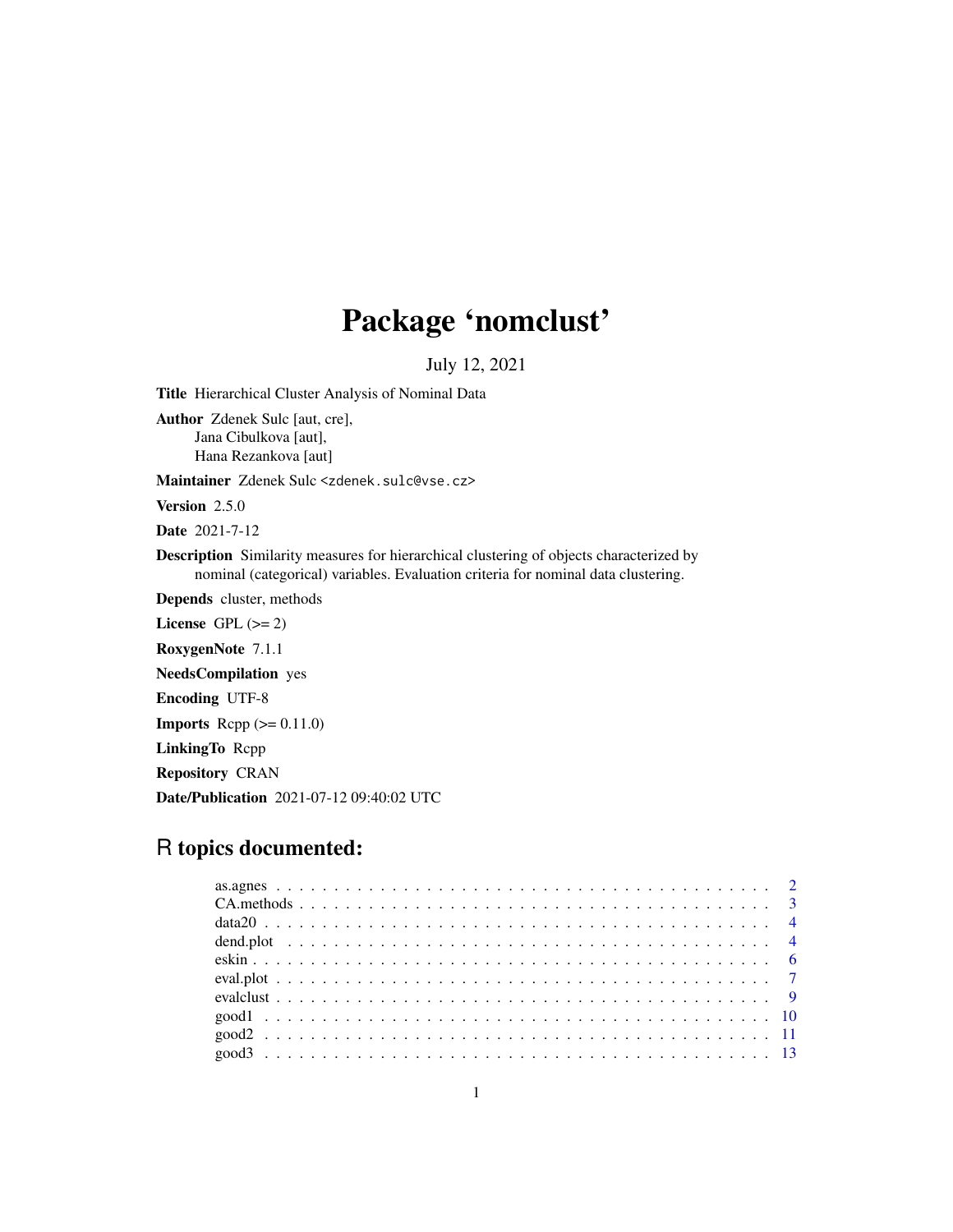# Package 'nomclust'

July 12, 2021

<span id="page-0-0"></span>Title Hierarchical Cluster Analysis of Nominal Data

Author Zdenek Sulc [aut, cre], Jana Cibulkova [aut], Hana Rezankova [aut]

Maintainer Zdenek Sulc <zdenek.sulc@vse.cz>

Version 2.5.0

Date 2021-7-12

Description Similarity measures for hierarchical clustering of objects characterized by nominal (categorical) variables. Evaluation criteria for nominal data clustering.

Depends cluster, methods

License GPL  $(>= 2)$ RoxygenNote 7.1.1

NeedsCompilation yes

Encoding UTF-8

**Imports** Rcpp  $(>= 0.11.0)$ 

LinkingTo Rcpp

Repository CRAN

Date/Publication 2021-07-12 09:40:02 UTC

# R topics documented: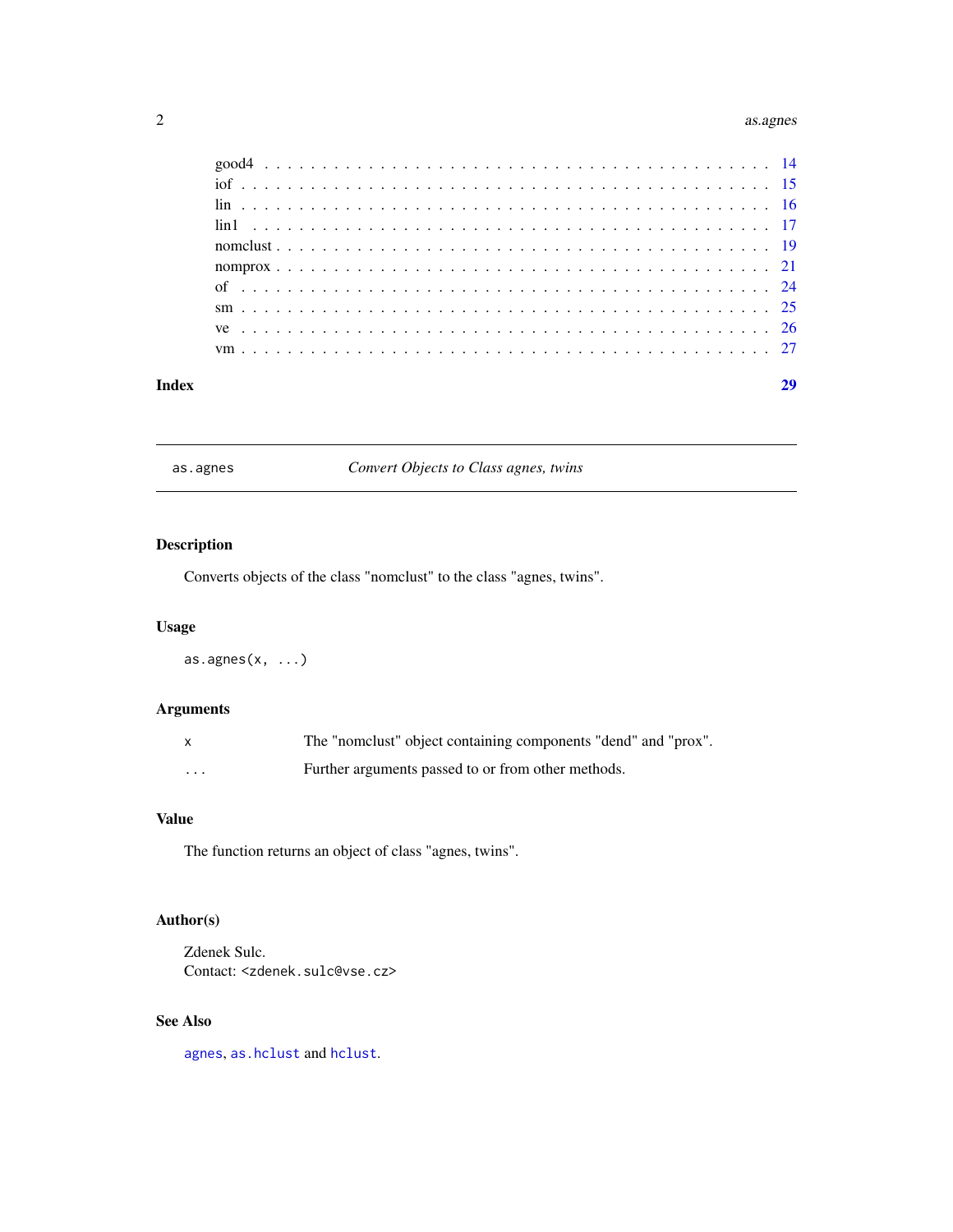#### <span id="page-1-0"></span>2 assume that the contract of the contract of the contract of the contract of the contract of the contract of the contract of the contract of the contract of the contract of the contract of the contract of the contract of

| Index |  |
|-------|--|
|       |  |
|       |  |
|       |  |
|       |  |
|       |  |
|       |  |
|       |  |
|       |  |
|       |  |
|       |  |

as.agnes *Convert Objects to Class agnes, twins*

# Description

Converts objects of the class "nomclust" to the class "agnes, twins".

# Usage

as.agnes $(x, \ldots)$ 

# Arguments

|         | The "nomelust" object containing components "dend" and "prox". |
|---------|----------------------------------------------------------------|
| $\cdot$ | Further arguments passed to or from other methods.             |

# Value

The function returns an object of class "agnes, twins".

# Author(s)

Zdenek Sulc. Contact: <zdenek.sulc@vse.cz>

# See Also

[agnes](#page-0-0), [as.hclust](#page-0-0) and [hclust](#page-0-0).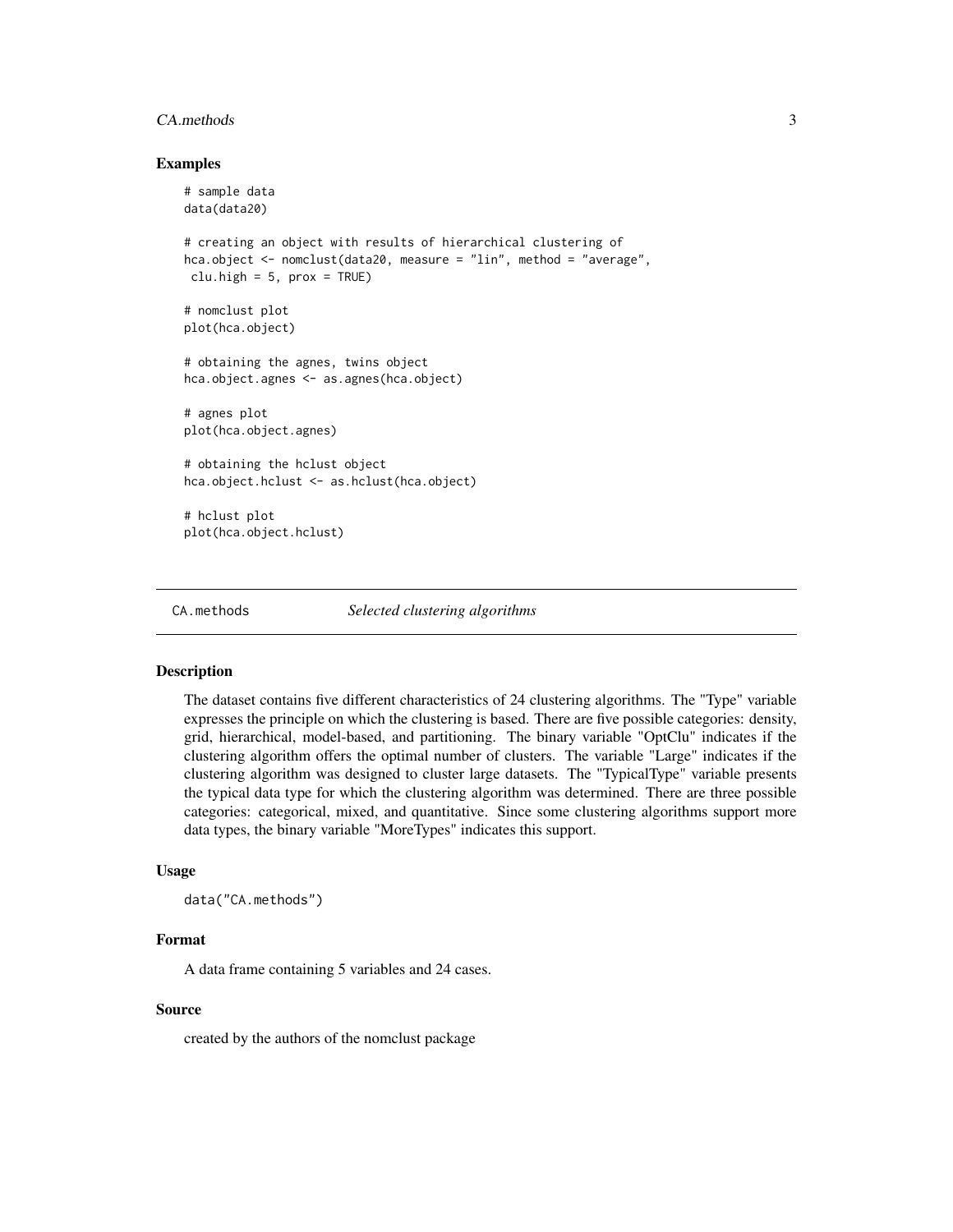#### <span id="page-2-0"></span>CA.methods 3

#### Examples

```
# sample data
data(data20)
# creating an object with results of hierarchical clustering of
hca.object <- nomclust(data20, measure = "lin", method = "average",
clu.high = 5, prox = TRUE)
# nomclust plot
plot(hca.object)
# obtaining the agnes, twins object
hca.object.agnes <- as.agnes(hca.object)
# agnes plot
plot(hca.object.agnes)
# obtaining the hclust object
hca.object.hclust <- as.hclust(hca.object)
# hclust plot
plot(hca.object.hclust)
```
CA.methods *Selected clustering algorithms*

#### Description

The dataset contains five different characteristics of 24 clustering algorithms. The "Type" variable expresses the principle on which the clustering is based. There are five possible categories: density, grid, hierarchical, model-based, and partitioning. The binary variable "OptClu" indicates if the clustering algorithm offers the optimal number of clusters. The variable "Large" indicates if the clustering algorithm was designed to cluster large datasets. The "TypicalType" variable presents the typical data type for which the clustering algorithm was determined. There are three possible categories: categorical, mixed, and quantitative. Since some clustering algorithms support more data types, the binary variable "MoreTypes" indicates this support.

#### Usage

data("CA.methods")

#### Format

A data frame containing 5 variables and 24 cases.

#### Source

created by the authors of the nomclust package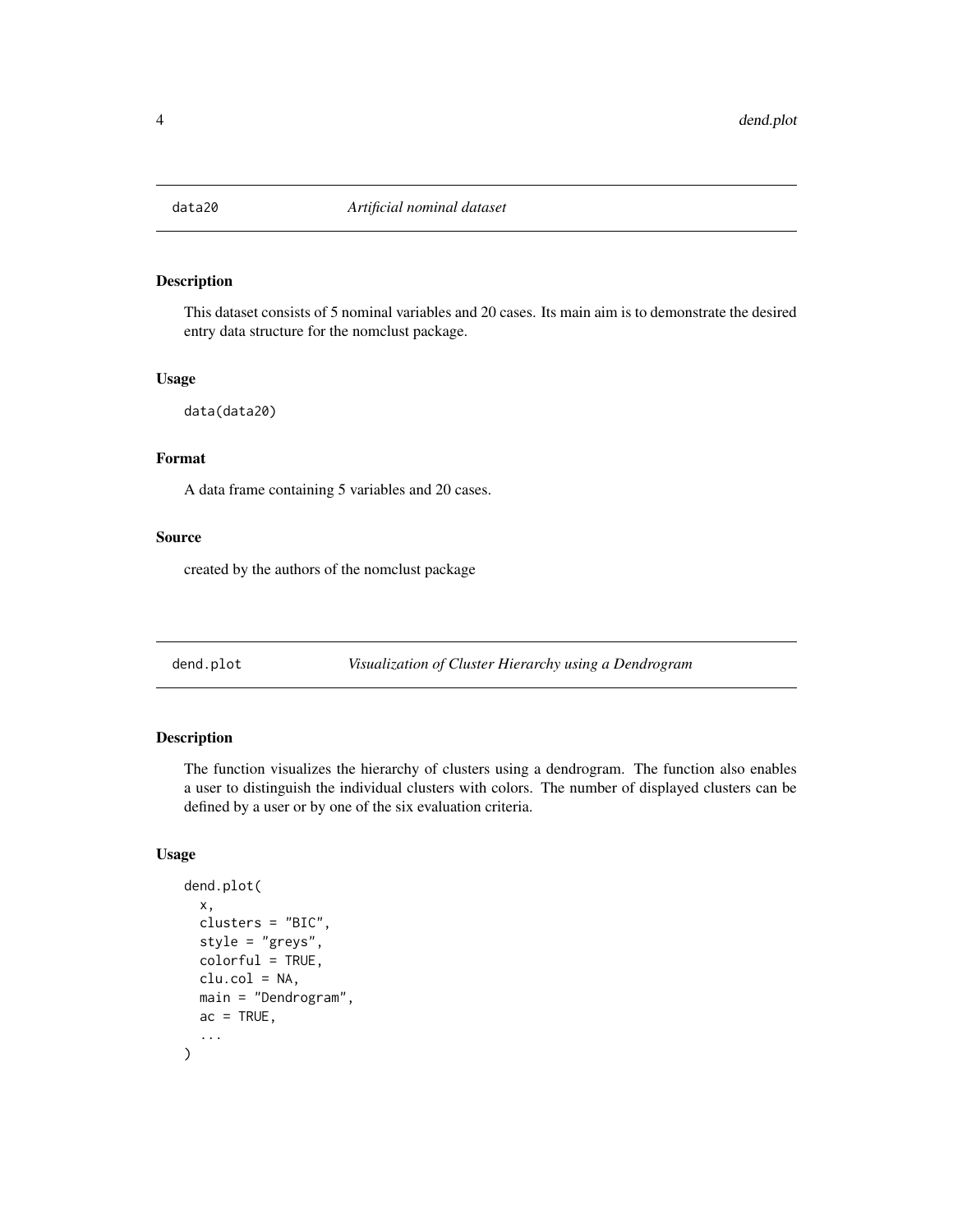<span id="page-3-0"></span>

# Description

This dataset consists of 5 nominal variables and 20 cases. Its main aim is to demonstrate the desired entry data structure for the nomclust package.

# Usage

```
data(data20)
```
# Format

A data frame containing 5 variables and 20 cases.

# Source

created by the authors of the nomclust package

<span id="page-3-1"></span>dend.plot *Visualization of Cluster Hierarchy using a Dendrogram*

# Description

The function visualizes the hierarchy of clusters using a dendrogram. The function also enables a user to distinguish the individual clusters with colors. The number of displayed clusters can be defined by a user or by one of the six evaluation criteria.

# Usage

```
dend.plot(
  x,
  clusters = "BIC",
  style = "greys",
  colorful = TRUE,
 clu.col = NA,
 main = "Dendrogram",
 ac = TRUE,...
)
```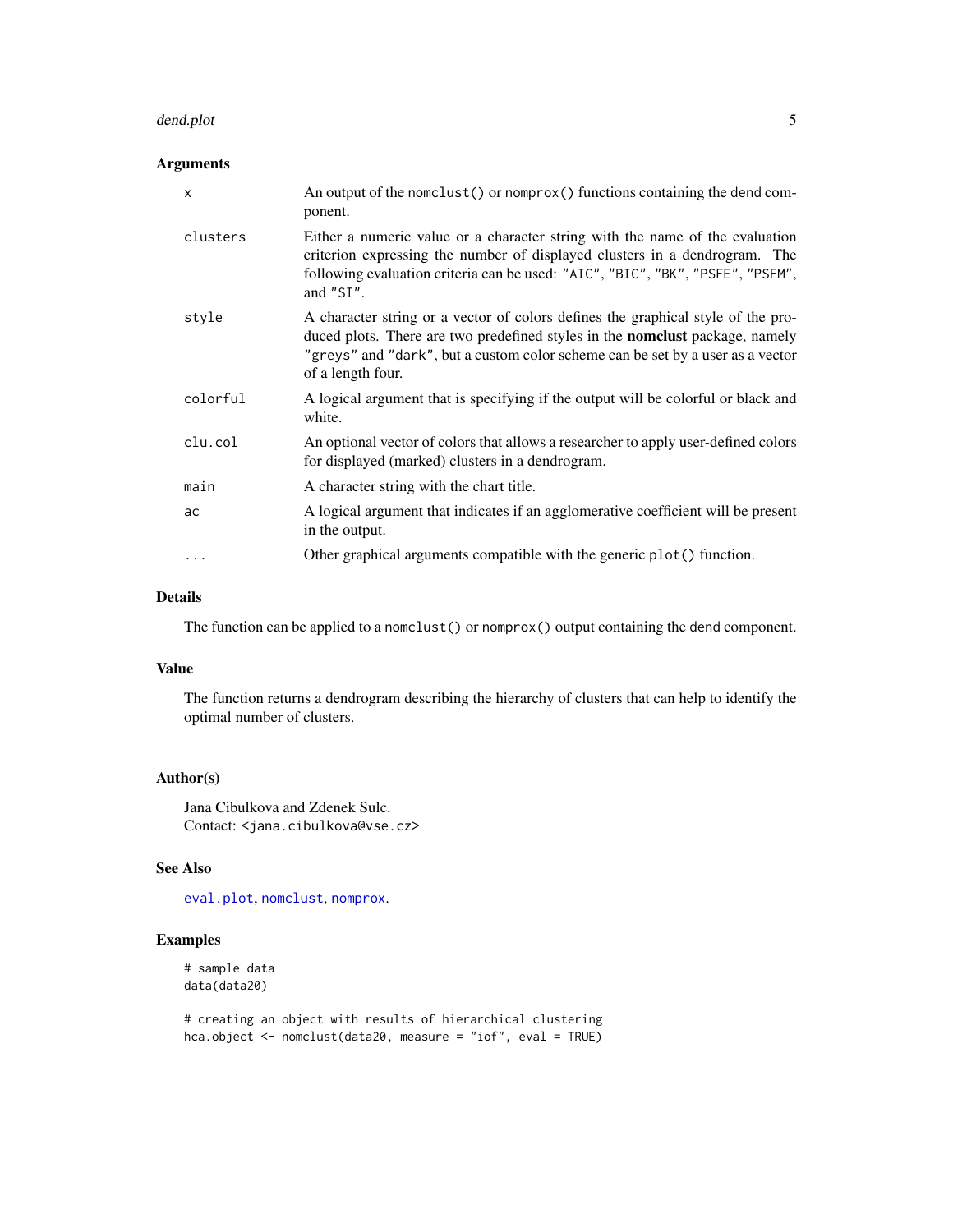#### <span id="page-4-0"></span>dend.plot 55 to 55 to 55 to 55 to 55 to 55 to 55 to 55 to 55 to 55 to 55 to 55 to 55 to 55 to 55 to 55 to 55 to 55 to 55 to 55 to 55 to 55 to 55 to 55 to 55 to 55 to 55 to 55 to 55 to 55 to 55 to 55 to 55 to 55 to 55 to 55

# Arguments

| $\times$ | An output of the nomelast () or nomprox () functions containing the dend com-<br>ponent.                                                                                                                                                                                       |
|----------|--------------------------------------------------------------------------------------------------------------------------------------------------------------------------------------------------------------------------------------------------------------------------------|
| clusters | Either a numeric value or a character string with the name of the evaluation<br>criterion expressing the number of displayed clusters in a dendrogram. The<br>following evaluation criteria can be used: "AIC", "BIC", "BK", "PSFE", "PSFM",<br>and "SI".                      |
| style    | A character string or a vector of colors defines the graphical style of the pro-<br>duced plots. There are two predefined styles in the <b>nomclust</b> package, namely<br>"greys" and "dark", but a custom color scheme can be set by a user as a vector<br>of a length four. |
| colorful | A logical argument that is specifying if the output will be colorful or black and<br>white.                                                                                                                                                                                    |
| clu.col  | An optional vector of colors that allows a researcher to apply user-defined colors<br>for displayed (marked) clusters in a dendrogram.                                                                                                                                         |
| main     | A character string with the chart title.                                                                                                                                                                                                                                       |
| ac       | A logical argument that indicates if an agglomerative coefficient will be present<br>in the output.                                                                                                                                                                            |
| .        | Other graphical arguments compatible with the generic plot() function.                                                                                                                                                                                                         |

# Details

The function can be applied to a nomclust() or nomprox() output containing the dend component.

# Value

The function returns a dendrogram describing the hierarchy of clusters that can help to identify the optimal number of clusters.

# Author(s)

Jana Cibulkova and Zdenek Sulc. Contact: <jana.cibulkova@vse.cz>

# See Also

[eval.plot](#page-6-1), [nomclust](#page-18-1), [nomprox](#page-20-1).

# Examples

```
# sample data
data(data20)
```
# creating an object with results of hierarchical clustering hca.object <- nomclust(data20, measure = "iof", eval = TRUE)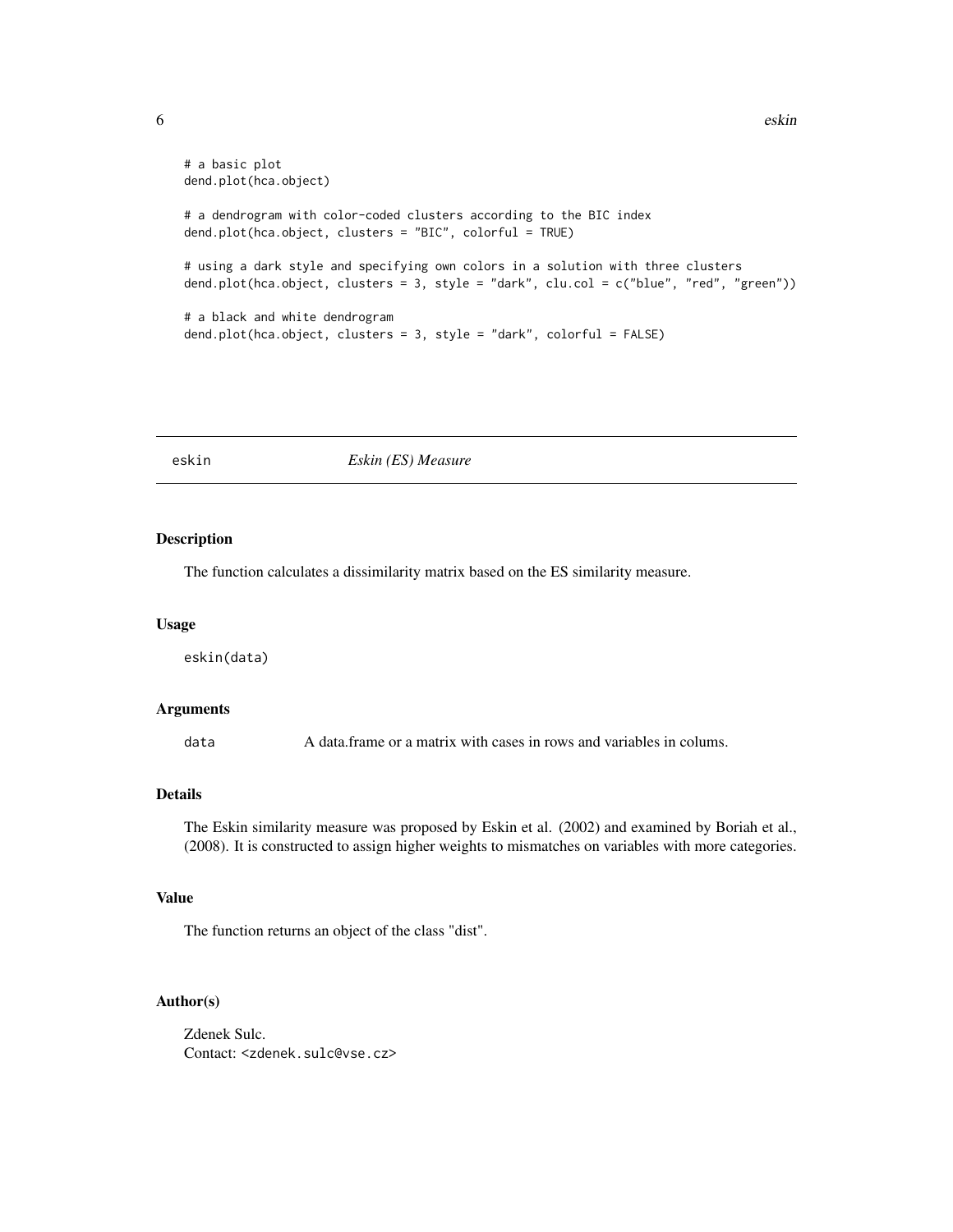```
6 eskin
```

```
# a basic plot
dend.plot(hca.object)
# a dendrogram with color-coded clusters according to the BIC index
dend.plot(hca.object, clusters = "BIC", colorful = TRUE)
# using a dark style and specifying own colors in a solution with three clusters
dend.plot(hca.object, clusters = 3, style = "dark", clu.col = c("blue", "red", "green"))
# a black and white dendrogram
dend.plot(hca.object, clusters = 3, style = "dark", colorful = FALSE)
```
# <span id="page-5-1"></span>eskin *Eskin (ES) Measure*

# Description

The function calculates a dissimilarity matrix based on the ES similarity measure.

#### Usage

eskin(data)

#### Arguments

data A data.frame or a matrix with cases in rows and variables in colums.

# Details

The Eskin similarity measure was proposed by Eskin et al. (2002) and examined by Boriah et al., (2008). It is constructed to assign higher weights to mismatches on variables with more categories.

# Value

The function returns an object of the class "dist".

#### Author(s)

Zdenek Sulc. Contact: <zdenek.sulc@vse.cz>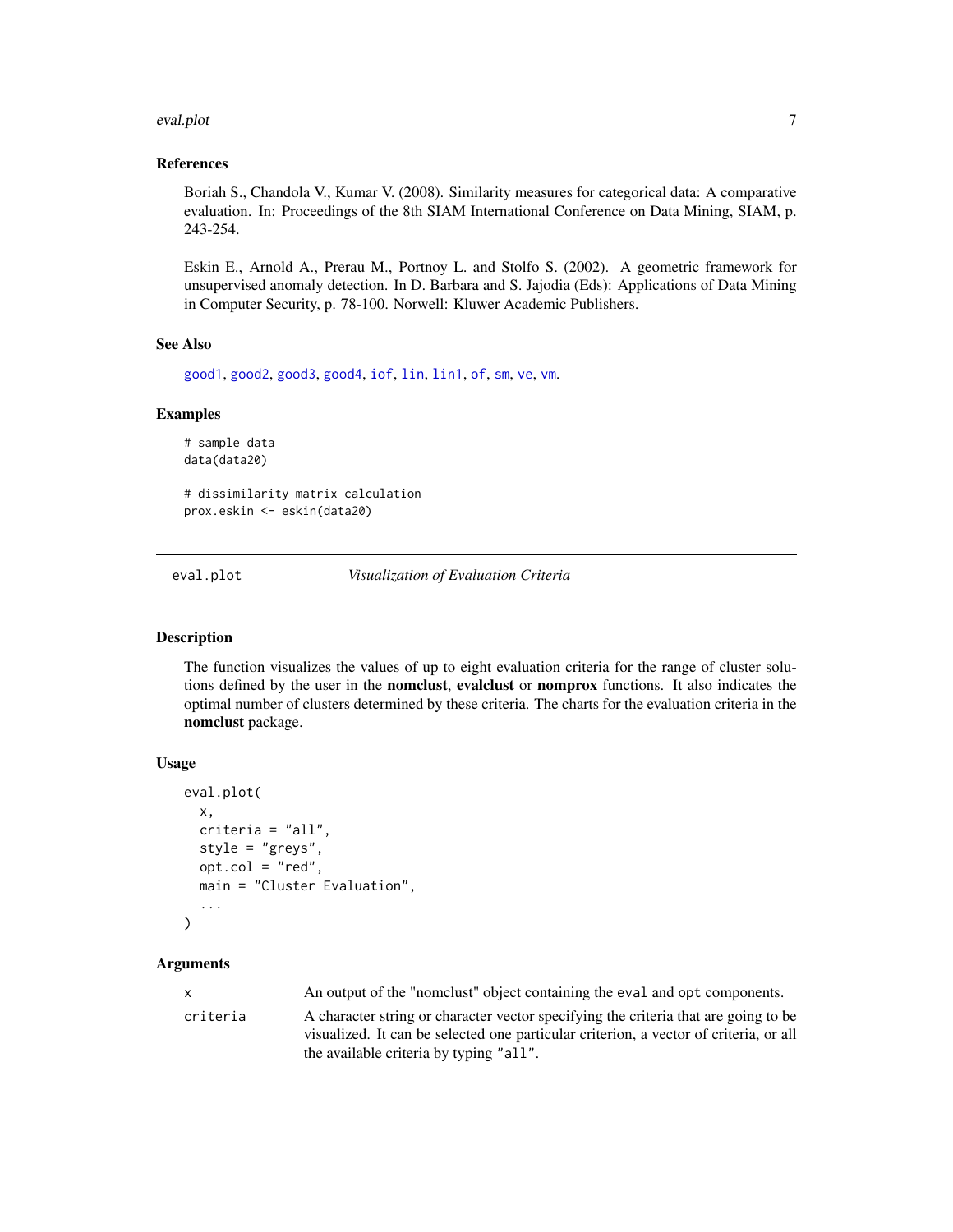#### <span id="page-6-0"></span>eval.plot 7

#### References

Boriah S., Chandola V., Kumar V. (2008). Similarity measures for categorical data: A comparative evaluation. In: Proceedings of the 8th SIAM International Conference on Data Mining, SIAM, p. 243-254.

Eskin E., Arnold A., Prerau M., Portnoy L. and Stolfo S. (2002). A geometric framework for unsupervised anomaly detection. In D. Barbara and S. Jajodia (Eds): Applications of Data Mining in Computer Security, p. 78-100. Norwell: Kluwer Academic Publishers.

#### See Also

[good1](#page-9-1), [good2](#page-10-1), [good3](#page-12-1), [good4](#page-13-1), [iof](#page-14-1), [lin](#page-15-1), [lin1](#page-16-1), [of](#page-23-1), [sm](#page-24-1), [ve](#page-25-1), [vm](#page-26-1).

#### Examples

```
# sample data
data(data20)
```
# dissimilarity matrix calculation prox.eskin <- eskin(data20)

<span id="page-6-1"></span>eval.plot *Visualization of Evaluation Criteria*

#### Description

The function visualizes the values of up to eight evaluation criteria for the range of cluster solutions defined by the user in the **nomclust**, evalclust or **nomprox** functions. It also indicates the optimal number of clusters determined by these criteria. The charts for the evaluation criteria in the nomclust package.

#### Usage

```
eval.plot(
  x,
  criteria = "all",
  style = "greys",
  opt.col = "red",main = "Cluster Evaluation",
  ...
)
```
#### Arguments

x An output of the "nomclust" object containing the eval and opt components.

criteria A character string or character vector specifying the criteria that are going to be visualized. It can be selected one particular criterion, a vector of criteria, or all the available criteria by typing "all".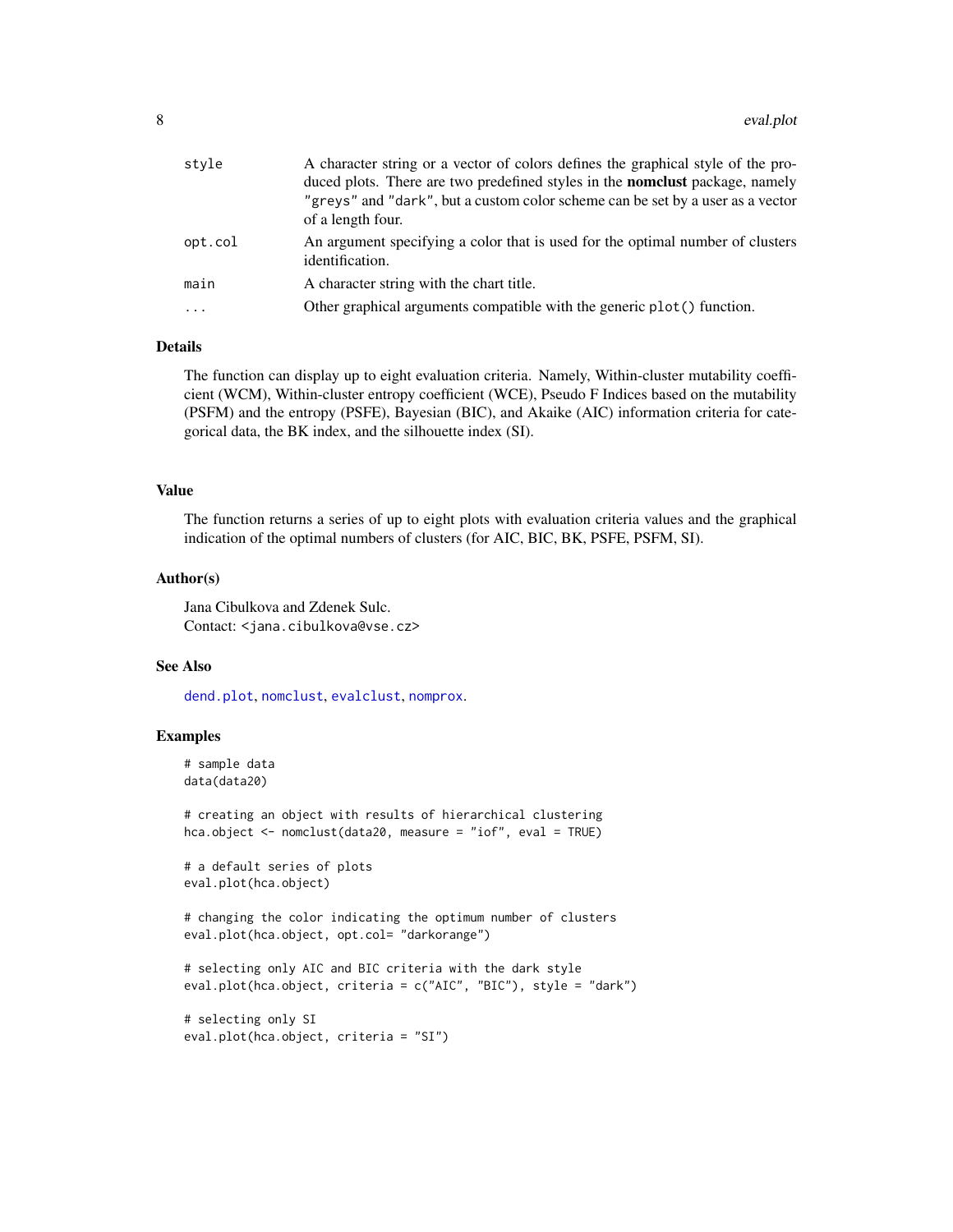<span id="page-7-0"></span>

| A character string or a vector of colors defines the graphical style of the pro-                  |
|---------------------------------------------------------------------------------------------------|
| duced plots. There are two predefined styles in the <b>nometast</b> package, namely               |
| "greys" and "dark", but a custom color scheme can be set by a user as a vector                    |
| of a length four.                                                                                 |
| An argument specifying a color that is used for the optimal number of clusters<br>identification. |
| A character string with the chart title.                                                          |
| Other graphical arguments compatible with the generic plot() function.                            |
|                                                                                                   |

# Details

The function can display up to eight evaluation criteria. Namely, Within-cluster mutability coefficient (WCM), Within-cluster entropy coefficient (WCE), Pseudo F Indices based on the mutability (PSFM) and the entropy (PSFE), Bayesian (BIC), and Akaike (AIC) information criteria for categorical data, the BK index, and the silhouette index (SI).

#### Value

The function returns a series of up to eight plots with evaluation criteria values and the graphical indication of the optimal numbers of clusters (for AIC, BIC, BK, PSFE, PSFM, SI).

#### Author(s)

Jana Cibulkova and Zdenek Sulc. Contact: <jana.cibulkova@vse.cz>

#### See Also

[dend.plot](#page-3-1), [nomclust](#page-18-1), [evalclust](#page-8-1), [nomprox](#page-20-1).

# Examples

```
# sample data
data(data20)
```
# creating an object with results of hierarchical clustering hca.object <- nomclust(data20, measure = "iof", eval = TRUE)

```
# a default series of plots
eval.plot(hca.object)
```
# changing the color indicating the optimum number of clusters eval.plot(hca.object, opt.col= "darkorange")

```
# selecting only AIC and BIC criteria with the dark style
eval.plot(hca.object, criteria = c("AIC", "BIC"), style = "dark")
```

```
# selecting only SI
eval.plot(hca.object, criteria = "SI")
```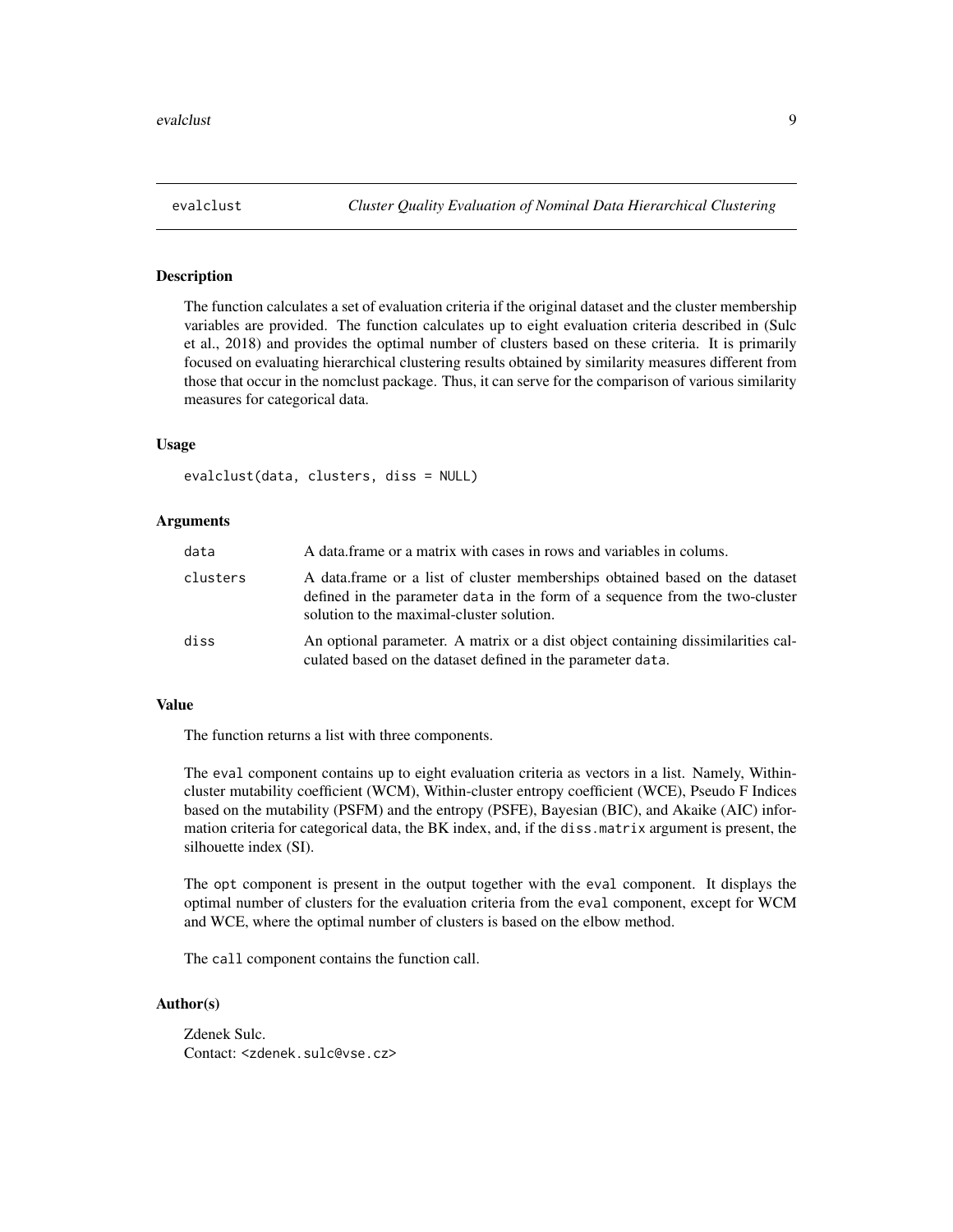<span id="page-8-1"></span><span id="page-8-0"></span>

#### **Description**

The function calculates a set of evaluation criteria if the original dataset and the cluster membership variables are provided. The function calculates up to eight evaluation criteria described in (Sulc et al., 2018) and provides the optimal number of clusters based on these criteria. It is primarily focused on evaluating hierarchical clustering results obtained by similarity measures different from those that occur in the nomclust package. Thus, it can serve for the comparison of various similarity measures for categorical data.

# Usage

evalclust(data, clusters, diss = NULL)

#### Arguments

| data     | A data frame or a matrix with cases in rows and variables in colums.                                                                                                                                     |
|----------|----------------------------------------------------------------------------------------------------------------------------------------------------------------------------------------------------------|
| clusters | A data frame or a list of cluster memberships obtained based on the dataset<br>defined in the parameter data in the form of a sequence from the two-cluster<br>solution to the maximal-cluster solution. |
| diss     | An optional parameter. A matrix or a dist object containing dissimilarities cal-<br>culated based on the dataset defined in the parameter data.                                                          |

#### Value

The function returns a list with three components.

The eval component contains up to eight evaluation criteria as vectors in a list. Namely, Withincluster mutability coefficient (WCM), Within-cluster entropy coefficient (WCE), Pseudo F Indices based on the mutability (PSFM) and the entropy (PSFE), Bayesian (BIC), and Akaike (AIC) information criteria for categorical data, the BK index, and, if the diss.matrix argument is present, the silhouette index (SI).

The opt component is present in the output together with the eval component. It displays the optimal number of clusters for the evaluation criteria from the eval component, except for WCM and WCE, where the optimal number of clusters is based on the elbow method.

The call component contains the function call.

#### Author(s)

Zdenek Sulc. Contact: <zdenek.sulc@vse.cz>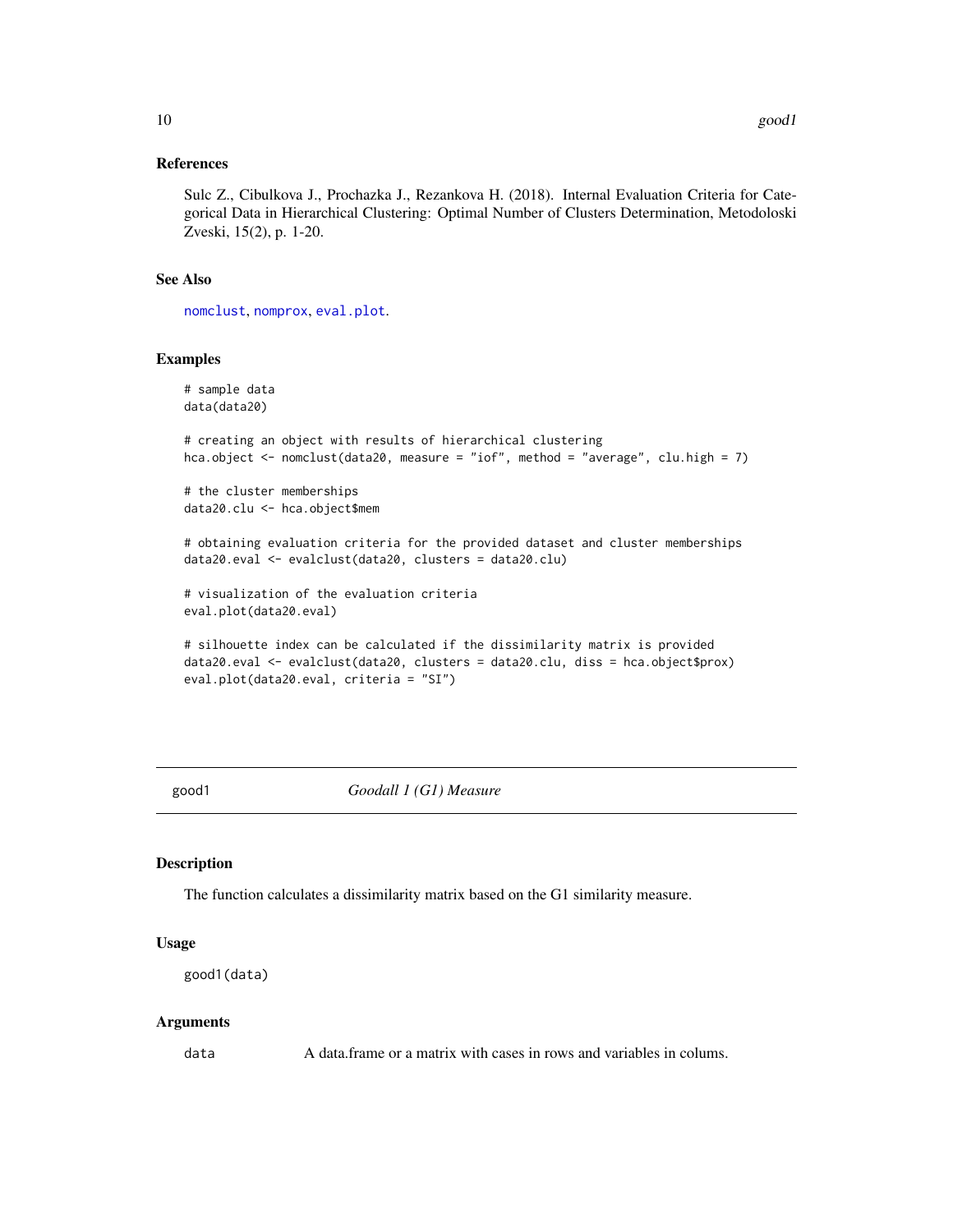# <span id="page-9-0"></span>References

Sulc Z., Cibulkova J., Prochazka J., Rezankova H. (2018). Internal Evaluation Criteria for Categorical Data in Hierarchical Clustering: Optimal Number of Clusters Determination, Metodoloski Zveski, 15(2), p. 1-20.

#### See Also

[nomclust](#page-18-1), [nomprox](#page-20-1), [eval.plot](#page-6-1).

# Examples

```
# sample data
data(data20)
# creating an object with results of hierarchical clustering
hca.object <- nomclust(data20, measure = "iof", method = "average", clu.high = 7)
# the cluster memberships
data20.clu <- hca.object$mem
# obtaining evaluation criteria for the provided dataset and cluster memberships
data20.eval <- evalclust(data20, clusters = data20.clu)
# visualization of the evaluation criteria
eval.plot(data20.eval)
# silhouette index can be calculated if the dissimilarity matrix is provided
data20.eval <- evalclust(data20, clusters = data20.clu, diss = hca.object$prox)
eval.plot(data20.eval, criteria = "SI")
```
<span id="page-9-1"></span>good1 *Goodall 1 (G1) Measure*

# Description

The function calculates a dissimilarity matrix based on the G1 similarity measure.

#### Usage

```
good1(data)
```
#### **Arguments**

data A data.frame or a matrix with cases in rows and variables in colums.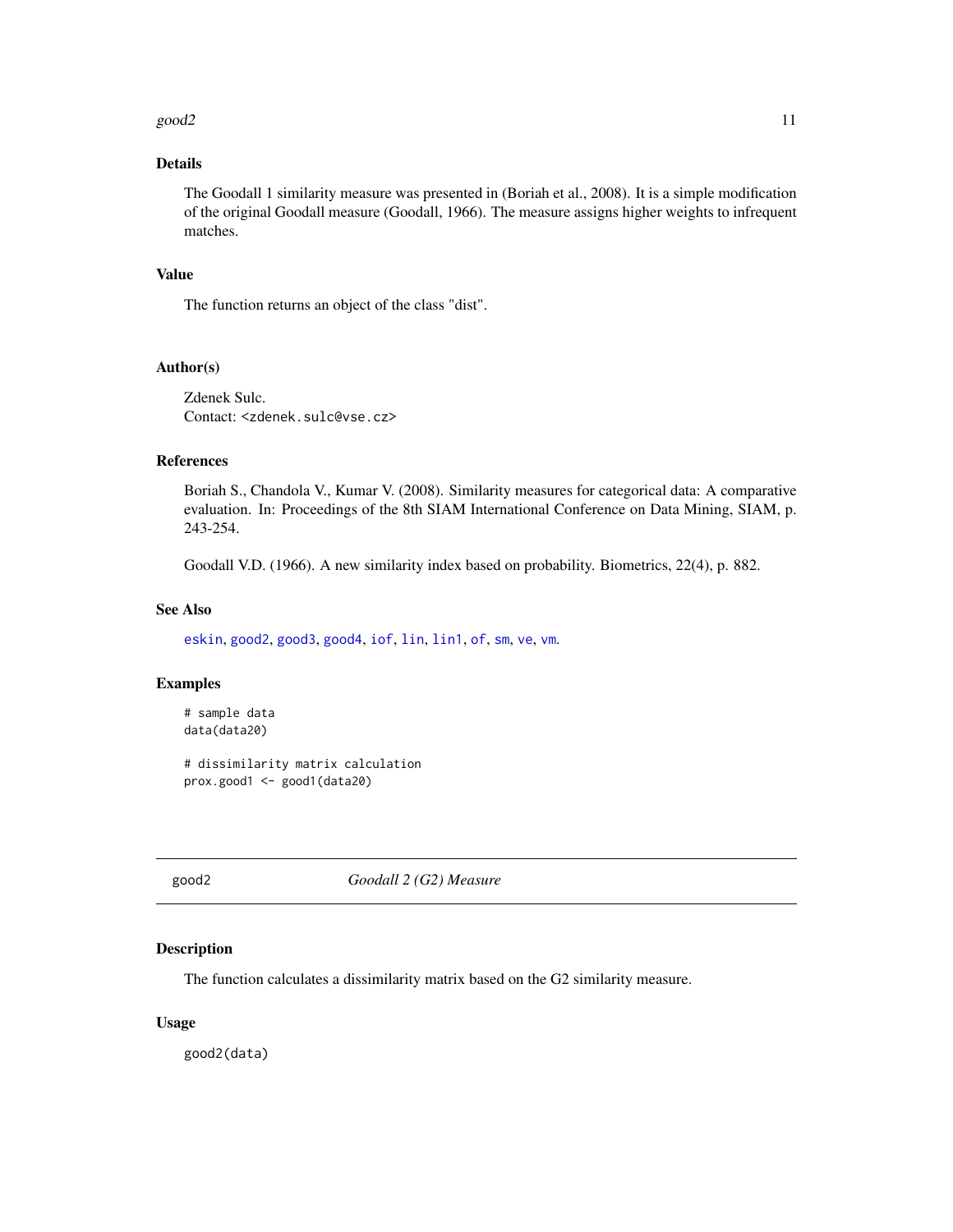#### <span id="page-10-0"></span> $\mathbf{good2}$  and  $\mathbf{11}$

# Details

The Goodall 1 similarity measure was presented in (Boriah et al., 2008). It is a simple modification of the original Goodall measure (Goodall, 1966). The measure assigns higher weights to infrequent matches.

# Value

The function returns an object of the class "dist".

#### Author(s)

Zdenek Sulc. Contact: <zdenek.sulc@vse.cz>

# References

Boriah S., Chandola V., Kumar V. (2008). Similarity measures for categorical data: A comparative evaluation. In: Proceedings of the 8th SIAM International Conference on Data Mining, SIAM, p. 243-254.

Goodall V.D. (1966). A new similarity index based on probability. Biometrics, 22(4), p. 882.

# See Also

[eskin](#page-5-1), [good2](#page-10-1), [good3](#page-12-1), [good4](#page-13-1), [iof](#page-14-1), [lin](#page-15-1), [lin1](#page-16-1), [of](#page-23-1), [sm](#page-24-1), [ve](#page-25-1), [vm](#page-26-1).

# Examples

```
# sample data
data(data20)
# dissimilarity matrix calculation
prox.good1 <- good1(data20)
```
<span id="page-10-1"></span>good2 *Goodall 2 (G2) Measure*

# Description

The function calculates a dissimilarity matrix based on the G2 similarity measure.

# Usage

good2(data)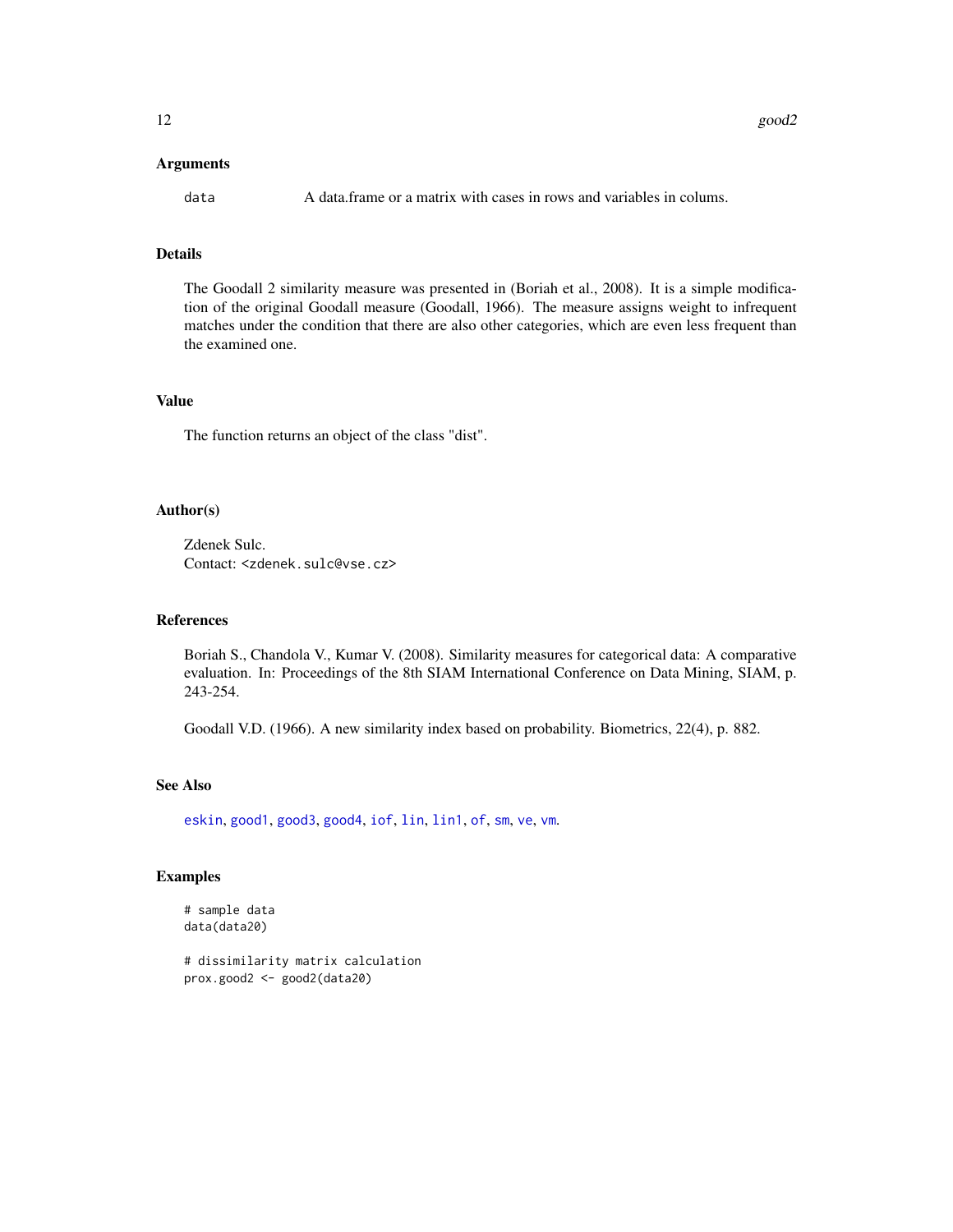#### <span id="page-11-0"></span>Arguments

data A data.frame or a matrix with cases in rows and variables in colums.

#### Details

The Goodall 2 similarity measure was presented in (Boriah et al., 2008). It is a simple modification of the original Goodall measure (Goodall, 1966). The measure assigns weight to infrequent matches under the condition that there are also other categories, which are even less frequent than the examined one.

# Value

The function returns an object of the class "dist".

#### Author(s)

Zdenek Sulc. Contact: <zdenek.sulc@vse.cz>

#### References

Boriah S., Chandola V., Kumar V. (2008). Similarity measures for categorical data: A comparative evaluation. In: Proceedings of the 8th SIAM International Conference on Data Mining, SIAM, p. 243-254.

Goodall V.D. (1966). A new similarity index based on probability. Biometrics, 22(4), p. 882.

# See Also

[eskin](#page-5-1), [good1](#page-9-1), [good3](#page-12-1), [good4](#page-13-1), [iof](#page-14-1), [lin](#page-15-1), [lin1](#page-16-1), [of](#page-23-1), [sm](#page-24-1), [ve](#page-25-1), [vm](#page-26-1).

#### Examples

```
# sample data
data(data20)
```

```
# dissimilarity matrix calculation
prox.good2 <- good2(data20)
```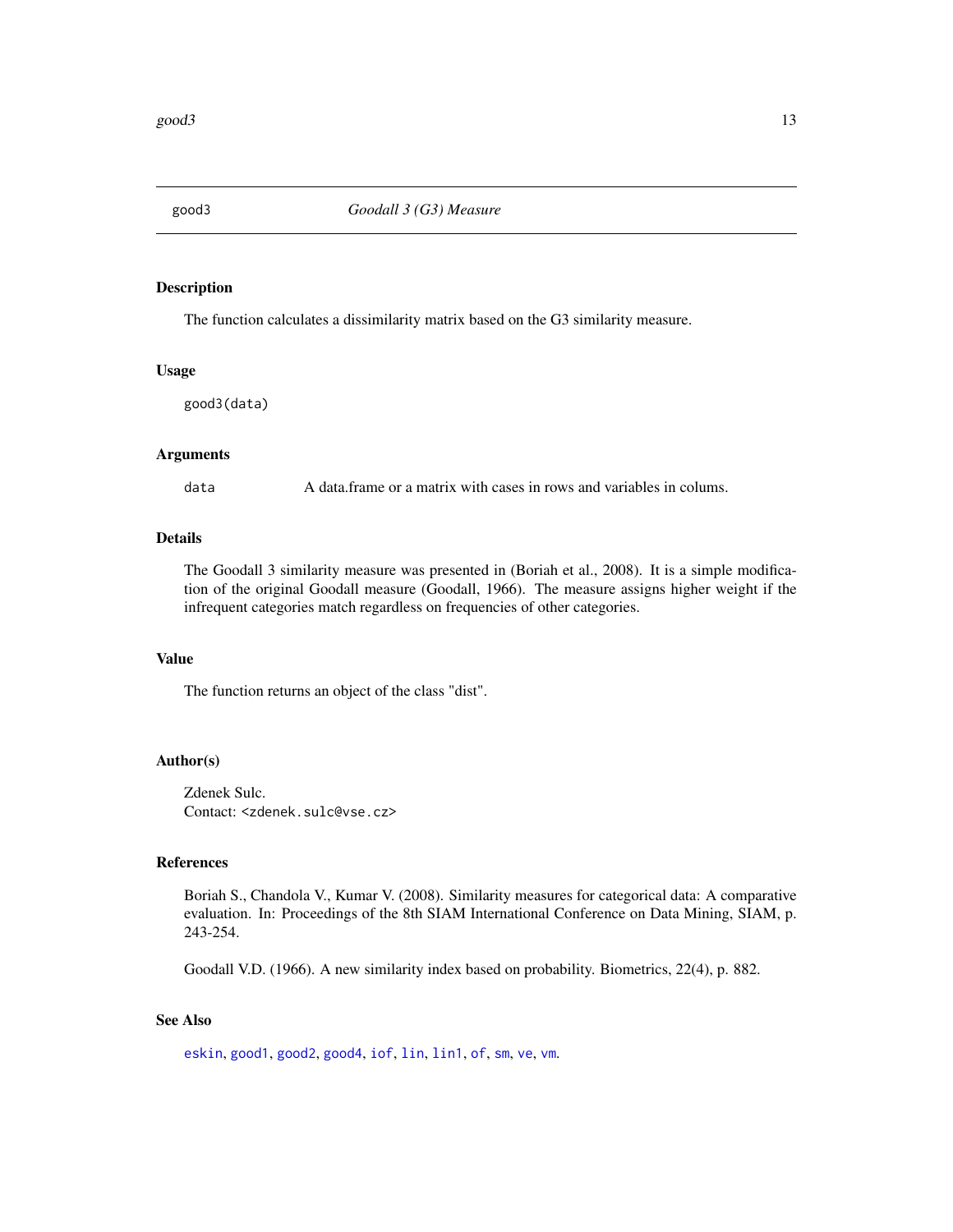<span id="page-12-1"></span><span id="page-12-0"></span>

#### Description

The function calculates a dissimilarity matrix based on the G3 similarity measure.

#### Usage

good3(data)

# Arguments

data A data.frame or a matrix with cases in rows and variables in colums.

#### Details

The Goodall 3 similarity measure was presented in (Boriah et al., 2008). It is a simple modification of the original Goodall measure (Goodall, 1966). The measure assigns higher weight if the infrequent categories match regardless on frequencies of other categories.

# Value

The function returns an object of the class "dist".

# Author(s)

Zdenek Sulc. Contact: <zdenek.sulc@vse.cz>

# References

Boriah S., Chandola V., Kumar V. (2008). Similarity measures for categorical data: A comparative evaluation. In: Proceedings of the 8th SIAM International Conference on Data Mining, SIAM, p. 243-254.

Goodall V.D. (1966). A new similarity index based on probability. Biometrics, 22(4), p. 882.

# See Also

[eskin](#page-5-1), [good1](#page-9-1), [good2](#page-10-1), [good4](#page-13-1), [iof](#page-14-1), [lin](#page-15-1), [lin1](#page-16-1), [of](#page-23-1), [sm](#page-24-1), [ve](#page-25-1), [vm](#page-26-1).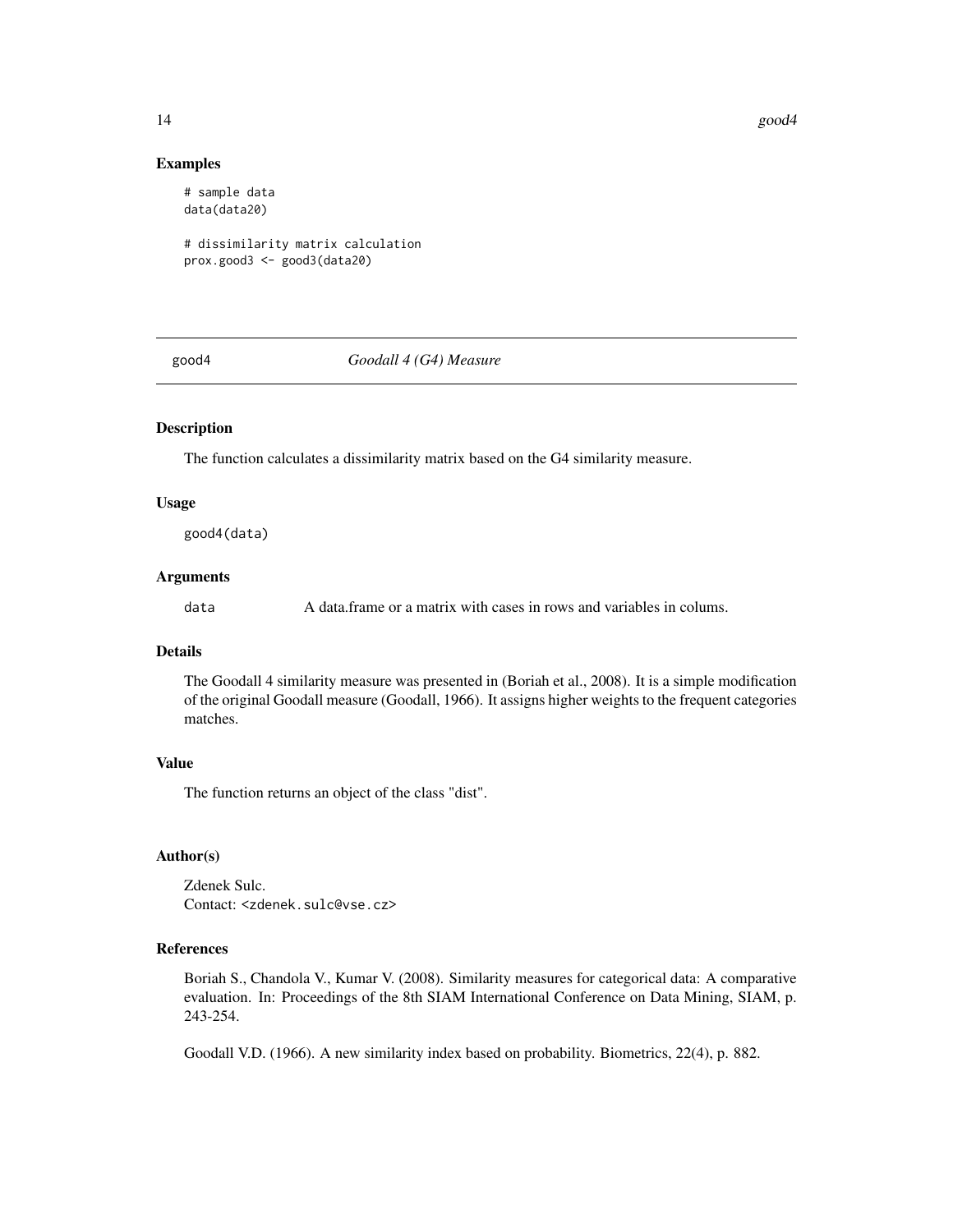<span id="page-13-0"></span>14 good good and the set of the set of the set of the set of the set of the set of the set of the set of the set of the set of the set of the set of the set of the set of the set of the set of the set of the set of the set

#### Examples

```
# sample data
data(data20)
```

```
# dissimilarity matrix calculation
prox.good3 <- good3(data20)
```
#### <span id="page-13-1"></span>good4 *Goodall 4 (G4) Measure*

# Description

The function calculates a dissimilarity matrix based on the G4 similarity measure.

#### Usage

good4(data)

# Arguments

data A data.frame or a matrix with cases in rows and variables in colums.

# Details

The Goodall 4 similarity measure was presented in (Boriah et al., 2008). It is a simple modification of the original Goodall measure (Goodall, 1966). It assigns higher weights to the frequent categories matches.

# Value

The function returns an object of the class "dist".

# Author(s)

Zdenek Sulc. Contact: <zdenek.sulc@vse.cz>

# References

Boriah S., Chandola V., Kumar V. (2008). Similarity measures for categorical data: A comparative evaluation. In: Proceedings of the 8th SIAM International Conference on Data Mining, SIAM, p. 243-254.

Goodall V.D. (1966). A new similarity index based on probability. Biometrics, 22(4), p. 882.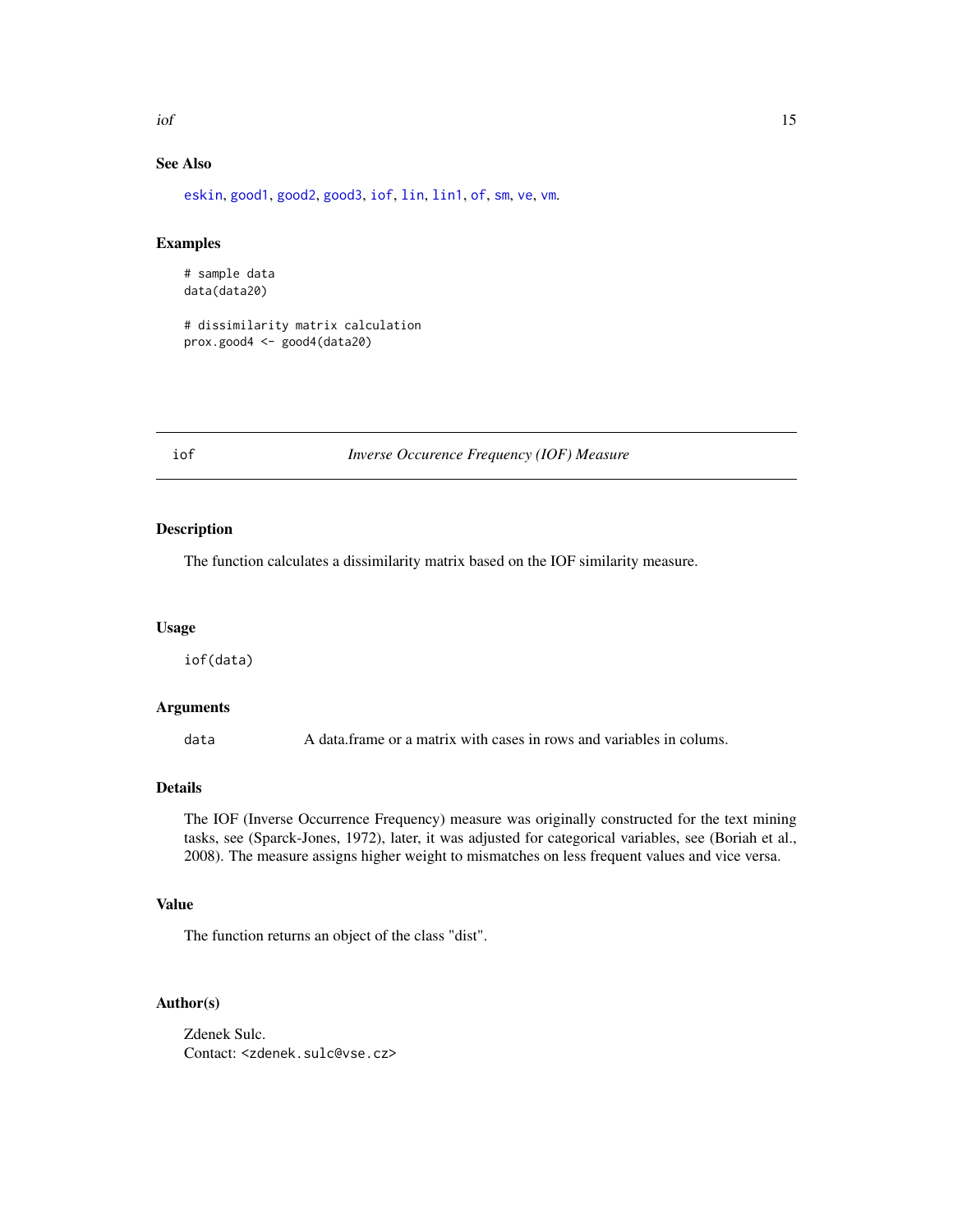# <span id="page-14-0"></span>See Also

[eskin](#page-5-1), [good1](#page-9-1), [good2](#page-10-1), [good3](#page-12-1), [iof](#page-14-1), [lin](#page-15-1), [lin1](#page-16-1), [of](#page-23-1), [sm](#page-24-1), [ve](#page-25-1), [vm](#page-26-1).

# Examples

```
# sample data
data(data20)
```

```
# dissimilarity matrix calculation
prox.good4 <- good4(data20)
```
#### <span id="page-14-1"></span>iof *Inverse Occurence Frequency (IOF) Measure*

# Description

The function calculates a dissimilarity matrix based on the IOF similarity measure.

#### Usage

iof(data)

# Arguments

data a A data.frame or a matrix with cases in rows and variables in colums.

# Details

The IOF (Inverse Occurrence Frequency) measure was originally constructed for the text mining tasks, see (Sparck-Jones, 1972), later, it was adjusted for categorical variables, see (Boriah et al., 2008). The measure assigns higher weight to mismatches on less frequent values and vice versa.

# Value

The function returns an object of the class "dist".

# Author(s)

Zdenek Sulc. Contact: <zdenek.sulc@vse.cz>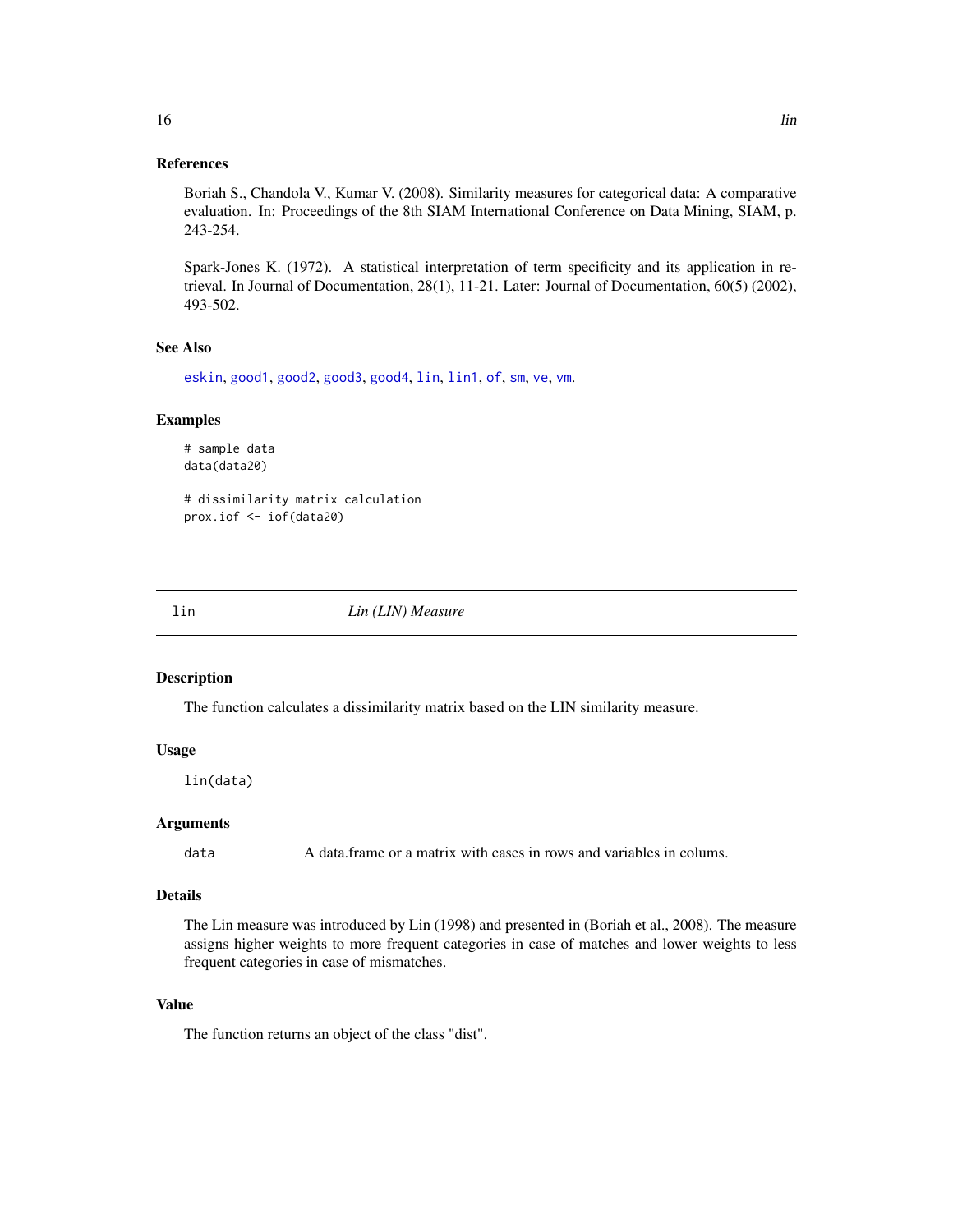<span id="page-15-0"></span>Boriah S., Chandola V., Kumar V. (2008). Similarity measures for categorical data: A comparative evaluation. In: Proceedings of the 8th SIAM International Conference on Data Mining, SIAM, p. 243-254.

Spark-Jones K. (1972). A statistical interpretation of term specificity and its application in retrieval. In Journal of Documentation, 28(1), 11-21. Later: Journal of Documentation, 60(5) (2002), 493-502.

#### See Also

[eskin](#page-5-1), [good1](#page-9-1), [good2](#page-10-1), [good3](#page-12-1), [good4](#page-13-1), [lin](#page-15-1), [lin1](#page-16-1), [of](#page-23-1), [sm](#page-24-1), [ve](#page-25-1), [vm](#page-26-1).

# Examples

```
# sample data
data(data20)
```
# dissimilarity matrix calculation prox.iof <- iof(data20)

<span id="page-15-1"></span>

lin *Lin (LIN) Measure*

#### Description

The function calculates a dissimilarity matrix based on the LIN similarity measure.

#### Usage

lin(data)

#### Arguments

data A data.frame or a matrix with cases in rows and variables in colums.

#### Details

The Lin measure was introduced by Lin (1998) and presented in (Boriah et al., 2008). The measure assigns higher weights to more frequent categories in case of matches and lower weights to less frequent categories in case of mismatches.

#### Value

The function returns an object of the class "dist".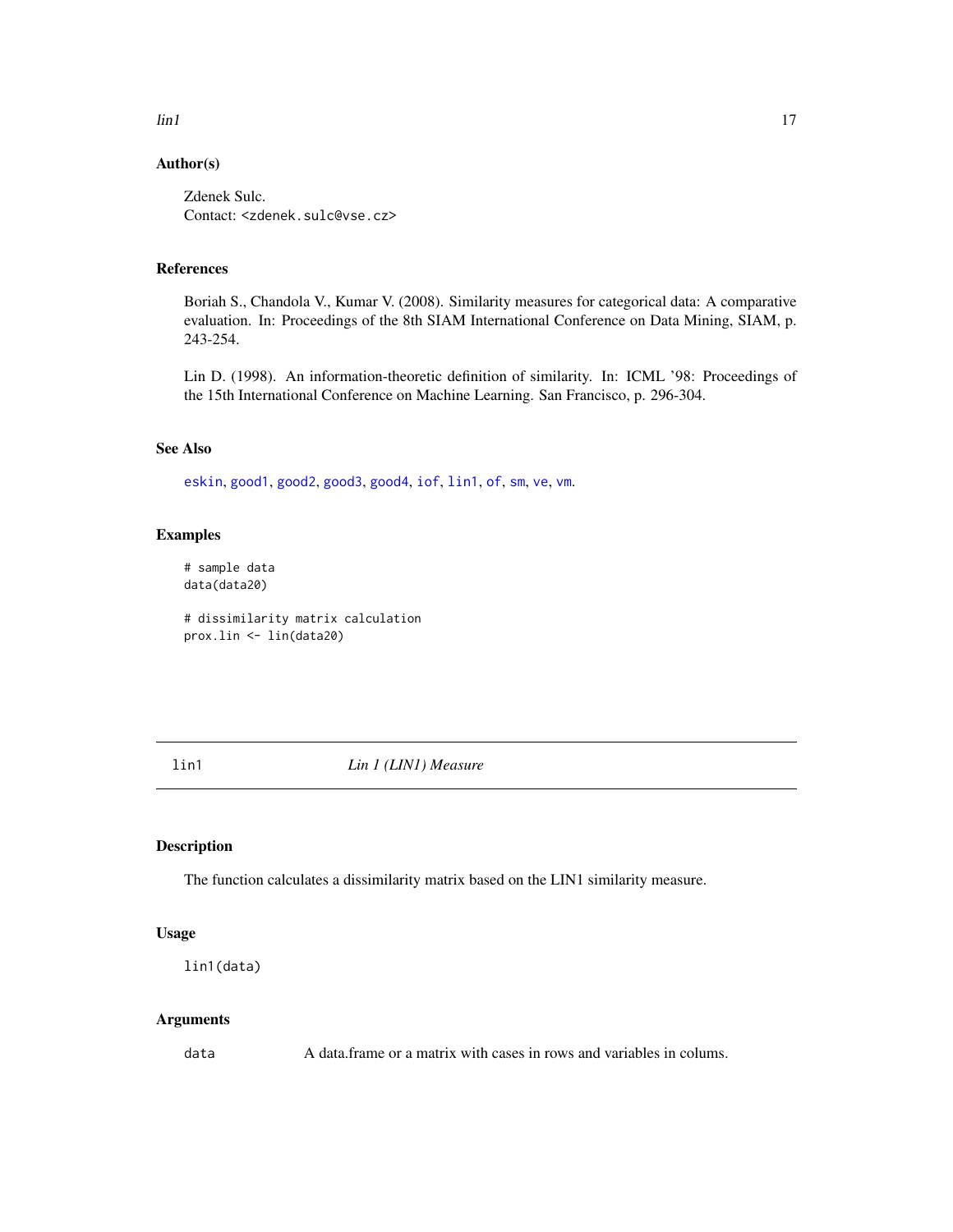# <span id="page-16-0"></span>Author(s)

Zdenek Sulc. Contact: <zdenek.sulc@vse.cz>

# References

Boriah S., Chandola V., Kumar V. (2008). Similarity measures for categorical data: A comparative evaluation. In: Proceedings of the 8th SIAM International Conference on Data Mining, SIAM, p. 243-254.

Lin D. (1998). An information-theoretic definition of similarity. In: ICML '98: Proceedings of the 15th International Conference on Machine Learning. San Francisco, p. 296-304.

# See Also

[eskin](#page-5-1), [good1](#page-9-1), [good2](#page-10-1), [good3](#page-12-1), [good4](#page-13-1), [iof](#page-14-1), [lin1](#page-16-1), [of](#page-23-1), [sm](#page-24-1), [ve](#page-25-1), [vm](#page-26-1).

# Examples

# sample data data(data20)

# dissimilarity matrix calculation prox.lin <- lin(data20)

<span id="page-16-1"></span>lin1 *Lin 1 (LIN1) Measure*

# Description

The function calculates a dissimilarity matrix based on the LIN1 similarity measure.

# Usage

lin1(data)

# Arguments

data A data.frame or a matrix with cases in rows and variables in colums.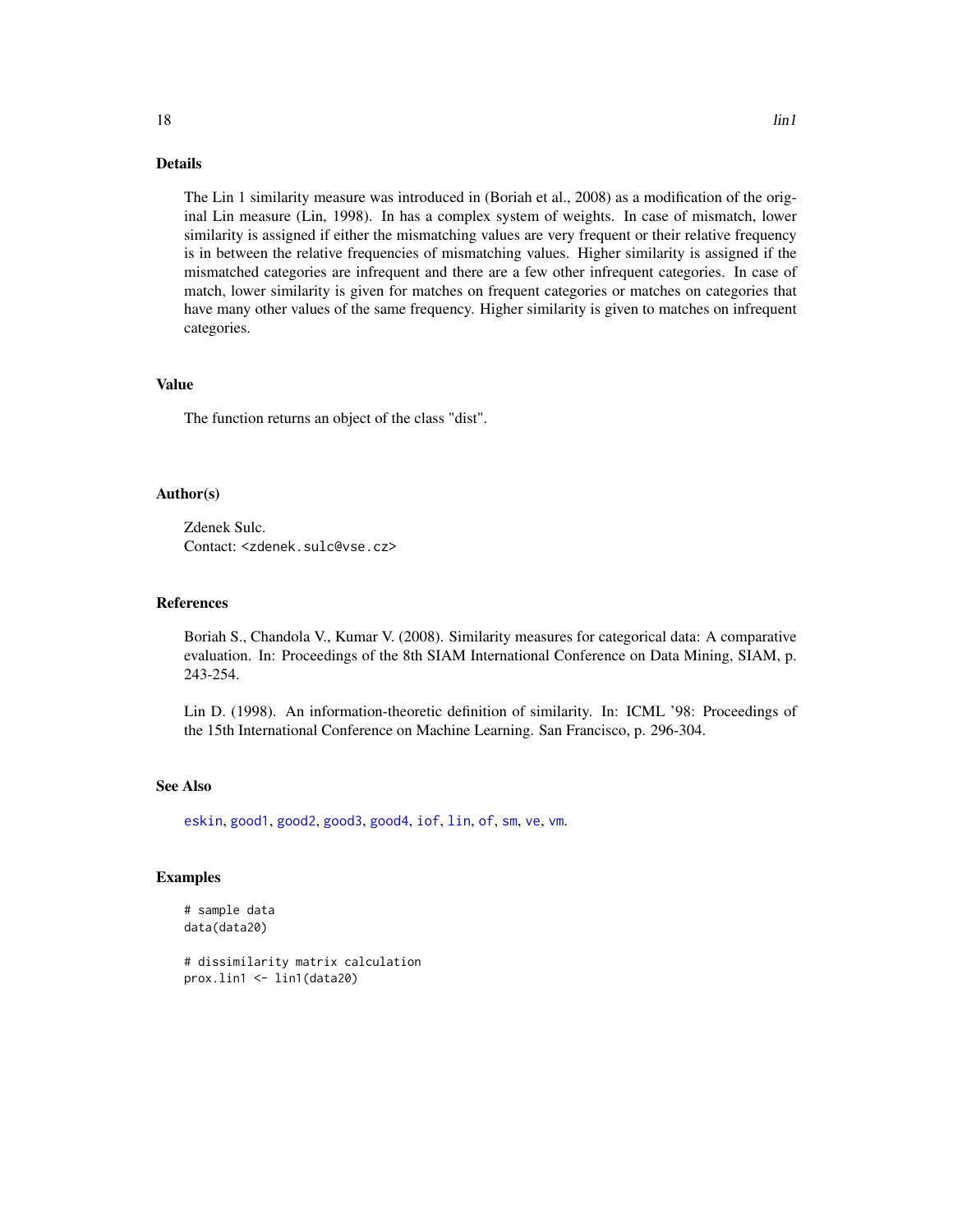# Details

The Lin 1 similarity measure was introduced in (Boriah et al., 2008) as a modification of the original Lin measure (Lin, 1998). In has a complex system of weights. In case of mismatch, lower similarity is assigned if either the mismatching values are very frequent or their relative frequency is in between the relative frequencies of mismatching values. Higher similarity is assigned if the mismatched categories are infrequent and there are a few other infrequent categories. In case of match, lower similarity is given for matches on frequent categories or matches on categories that have many other values of the same frequency. Higher similarity is given to matches on infrequent categories.

# Value

The function returns an object of the class "dist".

#### Author(s)

Zdenek Sulc. Contact: <zdenek.sulc@vse.cz>

#### References

Boriah S., Chandola V., Kumar V. (2008). Similarity measures for categorical data: A comparative evaluation. In: Proceedings of the 8th SIAM International Conference on Data Mining, SIAM, p. 243-254.

Lin D. (1998). An information-theoretic definition of similarity. In: ICML '98: Proceedings of the 15th International Conference on Machine Learning. San Francisco, p. 296-304.

# See Also

[eskin](#page-5-1), [good1](#page-9-1), [good2](#page-10-1), [good3](#page-12-1), [good4](#page-13-1), [iof](#page-14-1), [lin](#page-15-1), [of](#page-23-1), [sm](#page-24-1), [ve](#page-25-1), [vm](#page-26-1).

#### Examples

```
# sample data
data(data20)
```

```
# dissimilarity matrix calculation
prox.lin1 <- lin1(data20)
```
<span id="page-17-0"></span>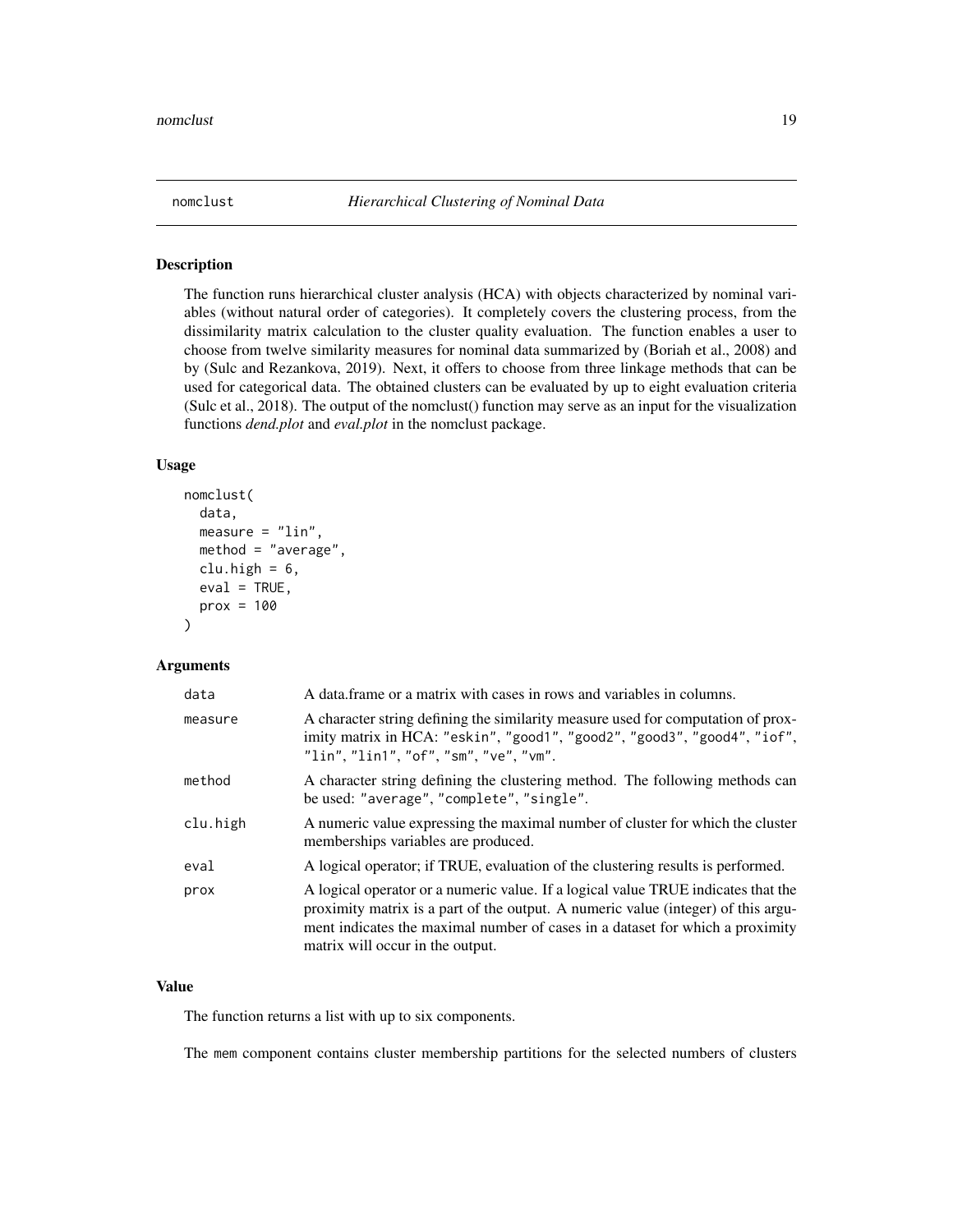<span id="page-18-1"></span><span id="page-18-0"></span>

# Description

The function runs hierarchical cluster analysis (HCA) with objects characterized by nominal variables (without natural order of categories). It completely covers the clustering process, from the dissimilarity matrix calculation to the cluster quality evaluation. The function enables a user to choose from twelve similarity measures for nominal data summarized by (Boriah et al., 2008) and by (Sulc and Rezankova, 2019). Next, it offers to choose from three linkage methods that can be used for categorical data. The obtained clusters can be evaluated by up to eight evaluation criteria (Sulc et al., 2018). The output of the nomclust() function may serve as an input for the visualization functions *dend.plot* and *eval.plot* in the nomclust package.

#### Usage

```
nomclust(
  data,
  measure = "lin",
  method = "average",
  clu.high = 6,
  eval = TRUE,prox = 100
)
```
# Arguments

| data     | A data frame or a matrix with cases in rows and variables in columns.                                                                                                                                                                                                                       |
|----------|---------------------------------------------------------------------------------------------------------------------------------------------------------------------------------------------------------------------------------------------------------------------------------------------|
| measure  | A character string defining the similarity measure used for computation of prox-<br>imity matrix in HCA: "eskin", "good1", "good2", "good3", "good4", "iof",<br>"lin", "lin1", "of", "sm", "ve", "vm".                                                                                      |
| method   | A character string defining the clustering method. The following methods can<br>be used: "average", "complete", "single".                                                                                                                                                                   |
| clu.high | A numeric value expressing the maximal number of cluster for which the cluster<br>memberships variables are produced.                                                                                                                                                                       |
| eval     | A logical operator; if TRUE, evaluation of the clustering results is performed.                                                                                                                                                                                                             |
| prox     | A logical operator or a numeric value. If a logical value TRUE indicates that the<br>proximity matrix is a part of the output. A numeric value (integer) of this argu-<br>ment indicates the maximal number of cases in a dataset for which a proximity<br>matrix will occur in the output. |

# Value

The function returns a list with up to six components.

The mem component contains cluster membership partitions for the selected numbers of clusters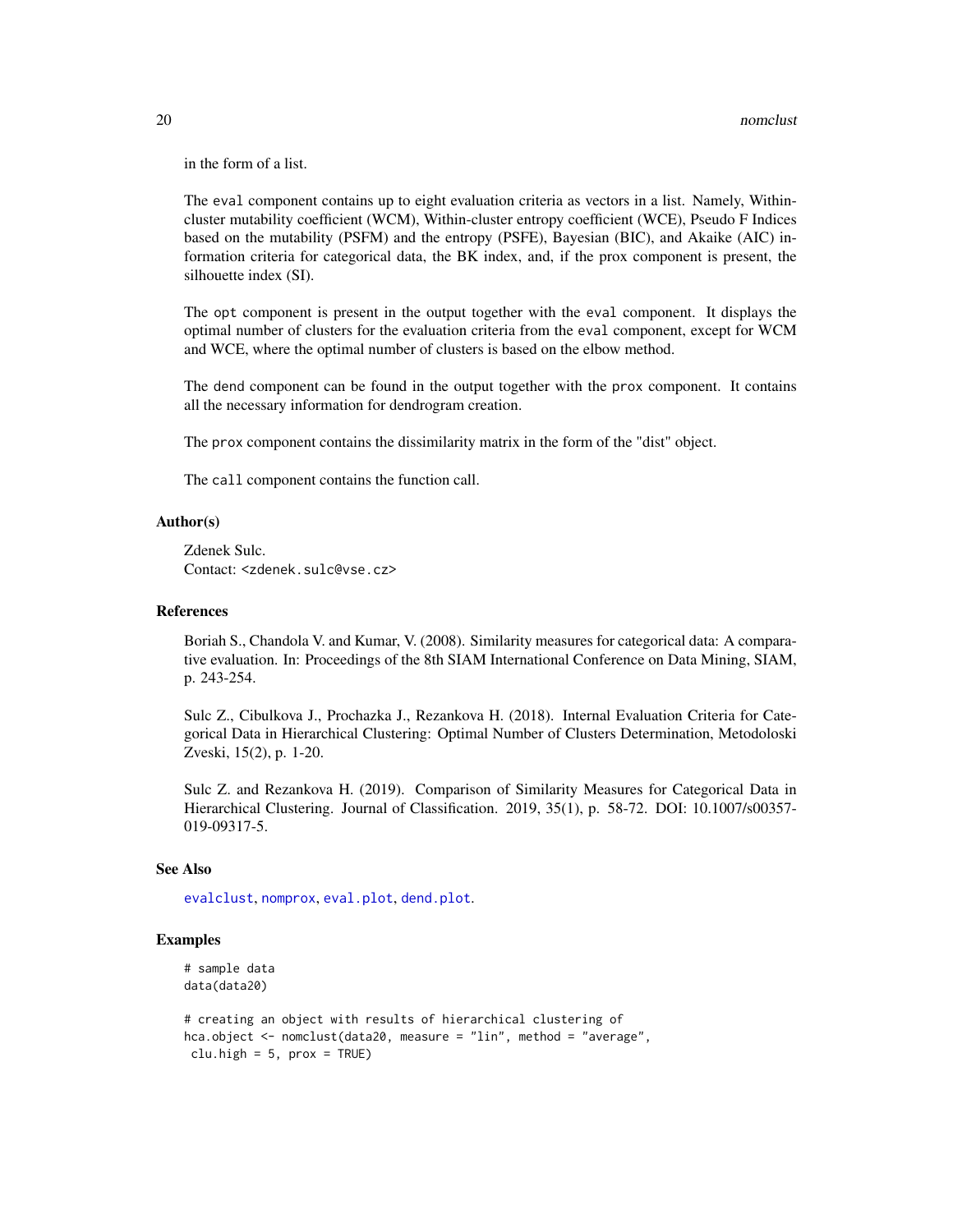in the form of a list.

The eval component contains up to eight evaluation criteria as vectors in a list. Namely, Withincluster mutability coefficient (WCM), Within-cluster entropy coefficient (WCE), Pseudo F Indices based on the mutability (PSFM) and the entropy (PSFE), Bayesian (BIC), and Akaike (AIC) information criteria for categorical data, the BK index, and, if the prox component is present, the silhouette index (SI).

The opt component is present in the output together with the eval component. It displays the optimal number of clusters for the evaluation criteria from the eval component, except for WCM and WCE, where the optimal number of clusters is based on the elbow method.

The dend component can be found in the output together with the prox component. It contains all the necessary information for dendrogram creation.

The prox component contains the dissimilarity matrix in the form of the "dist" object.

The call component contains the function call.

#### Author(s)

Zdenek Sulc. Contact: <zdenek.sulc@vse.cz>

#### References

Boriah S., Chandola V. and Kumar, V. (2008). Similarity measures for categorical data: A comparative evaluation. In: Proceedings of the 8th SIAM International Conference on Data Mining, SIAM, p. 243-254.

Sulc Z., Cibulkova J., Prochazka J., Rezankova H. (2018). Internal Evaluation Criteria for Categorical Data in Hierarchical Clustering: Optimal Number of Clusters Determination, Metodoloski Zveski, 15(2), p. 1-20.

Sulc Z. and Rezankova H. (2019). Comparison of Similarity Measures for Categorical Data in Hierarchical Clustering. Journal of Classification. 2019, 35(1), p. 58-72. DOI: 10.1007/s00357- 019-09317-5.

# See Also

[evalclust](#page-8-1), [nomprox](#page-20-1), [eval.plot](#page-6-1), [dend.plot](#page-3-1).

#### Examples

```
# sample data
data(data20)
# creating an object with results of hierarchical clustering of
hca.object <- nomclust(data20, measure = "lin", method = "average",
clu.high = 5, prox = TRUE)
```
<span id="page-19-0"></span>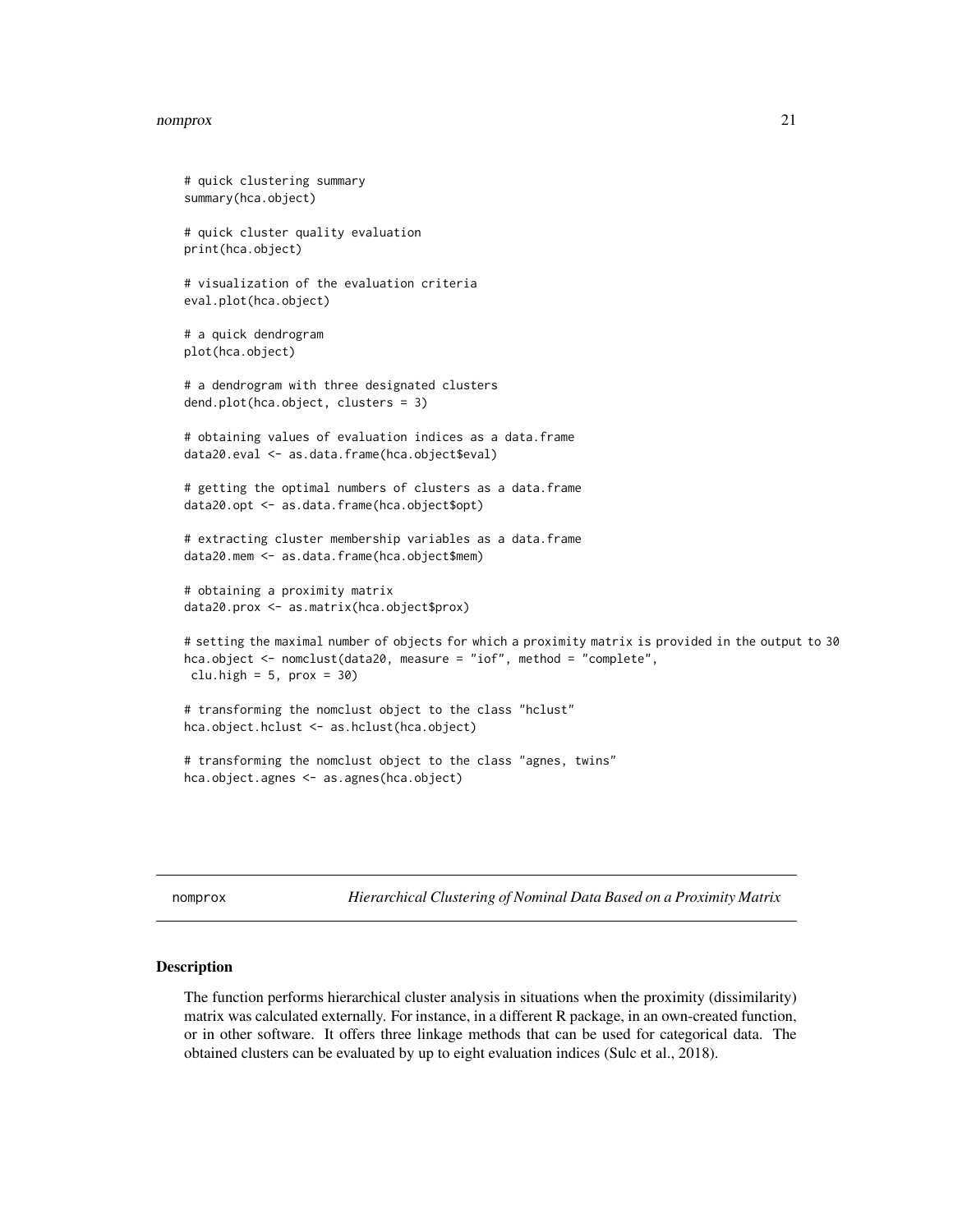#### <span id="page-20-0"></span>nomprox 21

```
# quick clustering summary
summary(hca.object)
# quick cluster quality evaluation
print(hca.object)
# visualization of the evaluation criteria
eval.plot(hca.object)
# a quick dendrogram
plot(hca.object)
# a dendrogram with three designated clusters
dend.plot(hca.object, clusters = 3)
# obtaining values of evaluation indices as a data.frame
data20.eval <- as.data.frame(hca.object$eval)
# getting the optimal numbers of clusters as a data.frame
data20.opt <- as.data.frame(hca.object$opt)
# extracting cluster membership variables as a data.frame
data20.mem <- as.data.frame(hca.object$mem)
# obtaining a proximity matrix
data20.prox <- as.matrix(hca.object$prox)
# setting the maximal number of objects for which a proximity matrix is provided in the output to 30
hca.object <- nomclust(data20, measure = "iof", method = "complete",
clu.high = 5, prox = 30)
# transforming the nomclust object to the class "hclust"
hca.object.hclust <- as.hclust(hca.object)
# transforming the nomclust object to the class "agnes, twins"
hca.object.agnes <- as.agnes(hca.object)
```
<span id="page-20-1"></span>nomprox *Hierarchical Clustering of Nominal Data Based on a Proximity Matrix*

#### Description

The function performs hierarchical cluster analysis in situations when the proximity (dissimilarity) matrix was calculated externally. For instance, in a different R package, in an own-created function, or in other software. It offers three linkage methods that can be used for categorical data. The obtained clusters can be evaluated by up to eight evaluation indices (Sulc et al., 2018).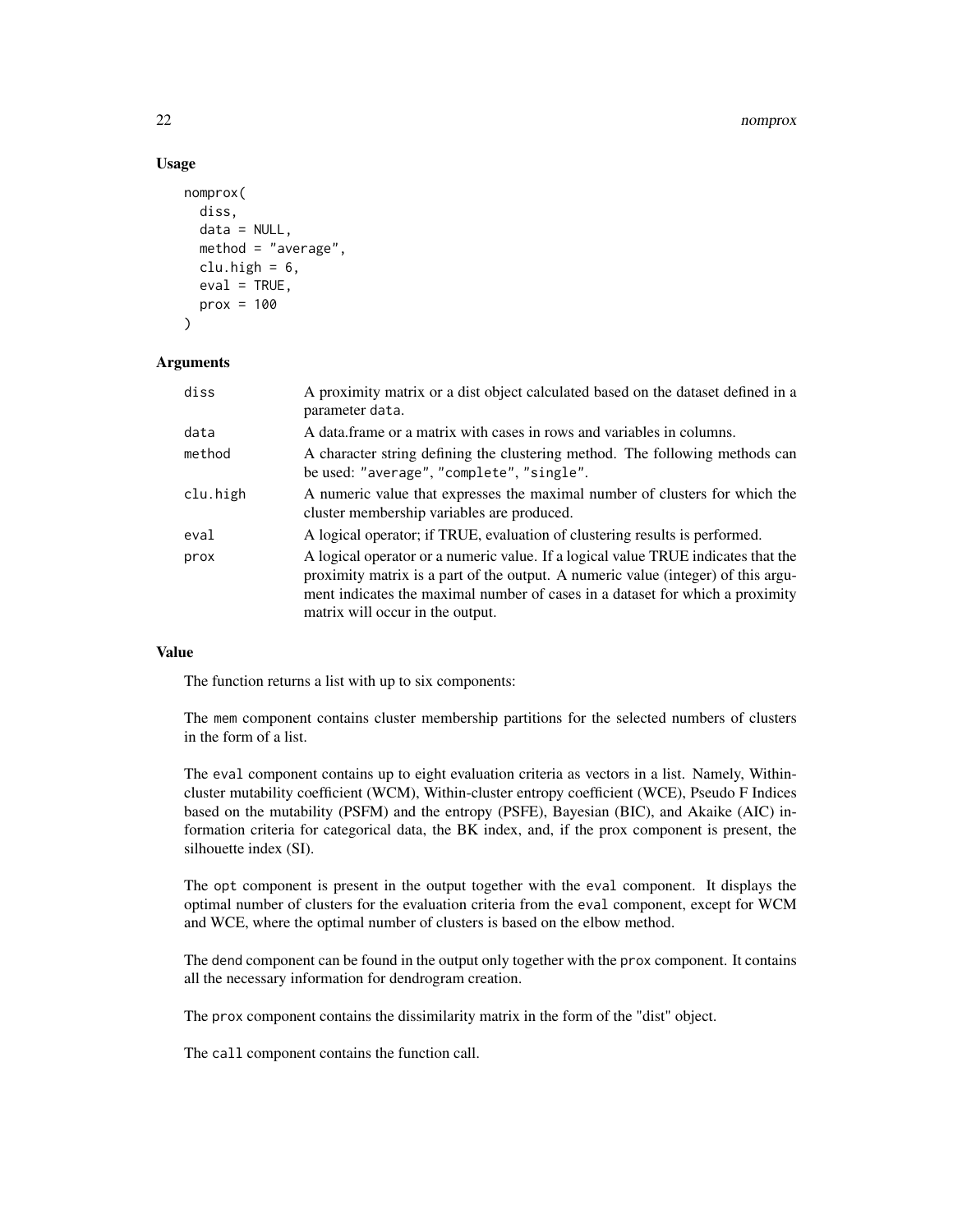#### 22 nomprox

# Usage

```
nomprox(
  diss,
  data = NULL,
  method = "average",
  clu.high = 6,
  eval = TRUE,prox = 100\lambda
```
#### Arguments

| diss     | A proximity matrix or a dist object calculated based on the dataset defined in a<br>parameter data.                                                                                                                                                                                         |
|----------|---------------------------------------------------------------------------------------------------------------------------------------------------------------------------------------------------------------------------------------------------------------------------------------------|
| data     | A data frame or a matrix with cases in rows and variables in columns.                                                                                                                                                                                                                       |
| method   | A character string defining the clustering method. The following methods can<br>be used: "average", "complete", "single".                                                                                                                                                                   |
| clu.high | A numeric value that expresses the maximal number of clusters for which the<br>cluster membership variables are produced.                                                                                                                                                                   |
| eval     | A logical operator; if TRUE, evaluation of clustering results is performed.                                                                                                                                                                                                                 |
| prox     | A logical operator or a numeric value. If a logical value TRUE indicates that the<br>proximity matrix is a part of the output. A numeric value (integer) of this argu-<br>ment indicates the maximal number of cases in a dataset for which a proximity<br>matrix will occur in the output. |

# Value

The function returns a list with up to six components:

The mem component contains cluster membership partitions for the selected numbers of clusters in the form of a list.

The eval component contains up to eight evaluation criteria as vectors in a list. Namely, Withincluster mutability coefficient (WCM), Within-cluster entropy coefficient (WCE), Pseudo F Indices based on the mutability (PSFM) and the entropy (PSFE), Bayesian (BIC), and Akaike (AIC) information criteria for categorical data, the BK index, and, if the prox component is present, the silhouette index (SI).

The opt component is present in the output together with the eval component. It displays the optimal number of clusters for the evaluation criteria from the eval component, except for WCM and WCE, where the optimal number of clusters is based on the elbow method.

The dend component can be found in the output only together with the prox component. It contains all the necessary information for dendrogram creation.

The prox component contains the dissimilarity matrix in the form of the "dist" object.

The call component contains the function call.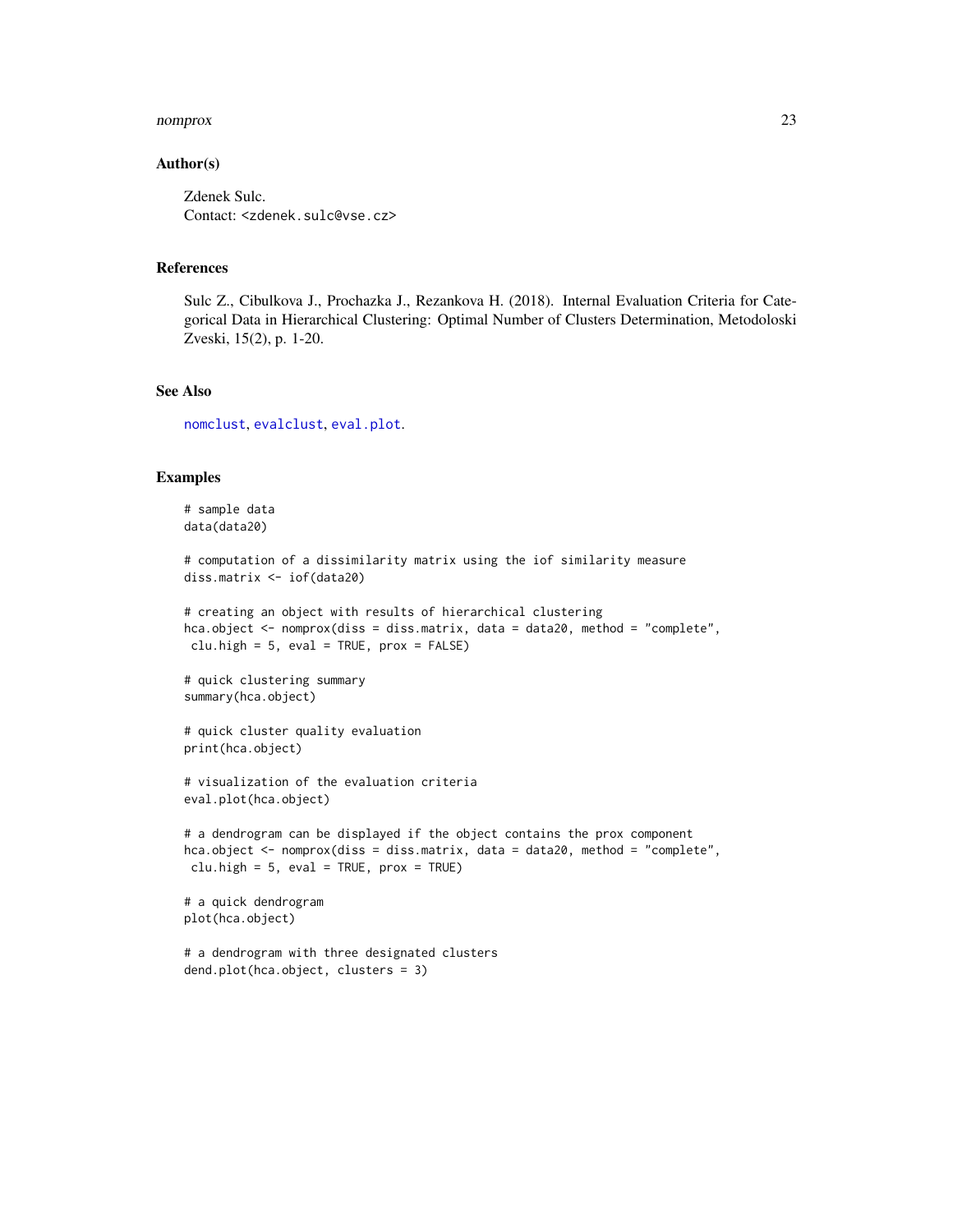#### <span id="page-22-0"></span>nomprox 23

#### Author(s)

Zdenek Sulc. Contact: <zdenek.sulc@vse.cz>

# References

Sulc Z., Cibulkova J., Prochazka J., Rezankova H. (2018). Internal Evaluation Criteria for Categorical Data in Hierarchical Clustering: Optimal Number of Clusters Determination, Metodoloski Zveski, 15(2), p. 1-20.

#### See Also

[nomclust](#page-18-1), [evalclust](#page-8-1), [eval.plot](#page-6-1).

#### Examples

```
# sample data
data(data20)
```

```
# computation of a dissimilarity matrix using the iof similarity measure
diss.matrix <- iof(data20)
```

```
# creating an object with results of hierarchical clustering
hca.object <- nomprox(diss = diss.matrix, data = data20, method = "complete",
clu.high = 5, eval = TRUE, prox = FALSE)
```

```
# quick clustering summary
summary(hca.object)
```

```
# quick cluster quality evaluation
print(hca.object)
```

```
# visualization of the evaluation criteria
eval.plot(hca.object)
```

```
# a dendrogram can be displayed if the object contains the prox component
hca.object <- nomprox(diss = diss.matrix, data = data20, method = "complete",
clu.high = 5, eval = TRUE, prox = TRUE)
```

```
# a quick dendrogram
plot(hca.object)
```

```
# a dendrogram with three designated clusters
dend.plot(hca.object, clusters = 3)
```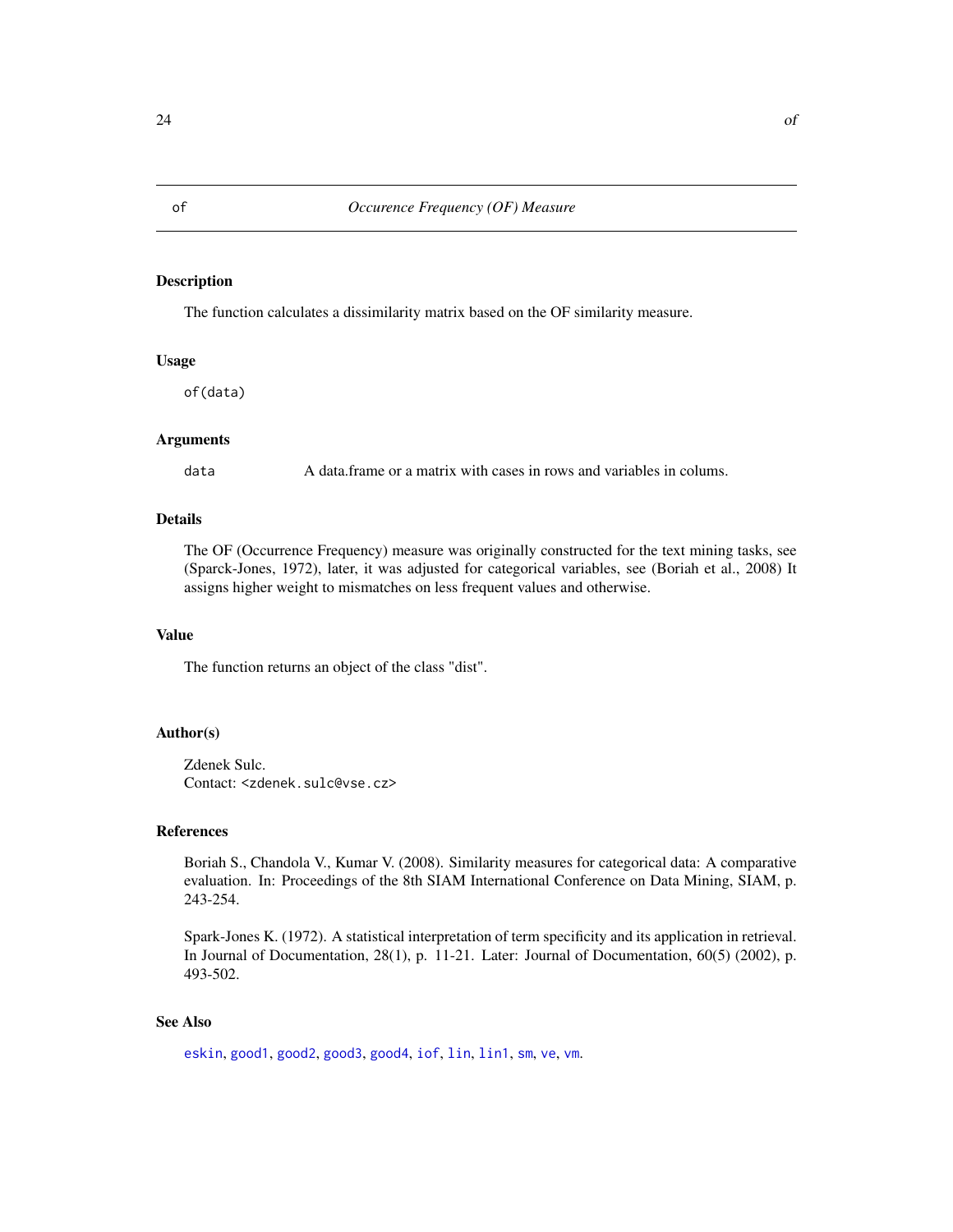# Description

The function calculates a dissimilarity matrix based on the OF similarity measure.

#### Usage

of(data)

#### Arguments

data A data.frame or a matrix with cases in rows and variables in colums.

# Details

The OF (Occurrence Frequency) measure was originally constructed for the text mining tasks, see (Sparck-Jones, 1972), later, it was adjusted for categorical variables, see (Boriah et al., 2008) It assigns higher weight to mismatches on less frequent values and otherwise.

# Value

The function returns an object of the class "dist".

# Author(s)

Zdenek Sulc. Contact: <zdenek.sulc@vse.cz>

# References

Boriah S., Chandola V., Kumar V. (2008). Similarity measures for categorical data: A comparative evaluation. In: Proceedings of the 8th SIAM International Conference on Data Mining, SIAM, p. 243-254.

Spark-Jones K. (1972). A statistical interpretation of term specificity and its application in retrieval. In Journal of Documentation, 28(1), p. 11-21. Later: Journal of Documentation, 60(5) (2002), p. 493-502.

# See Also

[eskin](#page-5-1), [good1](#page-9-1), [good2](#page-10-1), [good3](#page-12-1), [good4](#page-13-1), [iof](#page-14-1), [lin](#page-15-1), [lin1](#page-16-1), [sm](#page-24-1), [ve](#page-25-1), [vm](#page-26-1).

<span id="page-23-1"></span><span id="page-23-0"></span>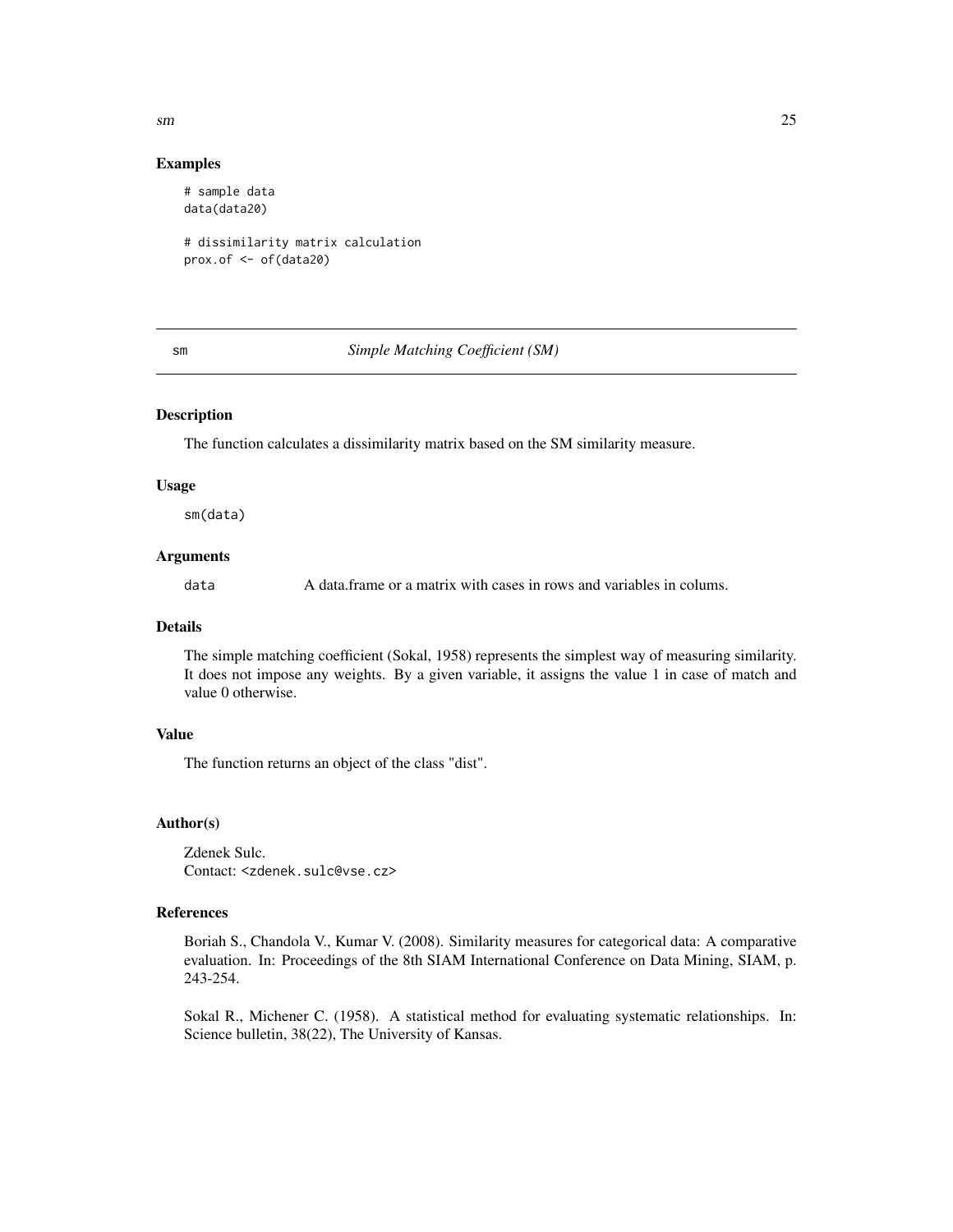#### <span id="page-24-0"></span> $\mathbf{s}$ m 25

## Examples

```
# sample data
data(data20)
# dissimilarity matrix calculation
prox.of <- of(data20)
```
<span id="page-24-1"></span>

# sm *Simple Matching Coefficient (SM)*

#### Description

The function calculates a dissimilarity matrix based on the SM similarity measure.

#### Usage

sm(data)

# Arguments

data A data.frame or a matrix with cases in rows and variables in colums.

# Details

The simple matching coefficient (Sokal, 1958) represents the simplest way of measuring similarity. It does not impose any weights. By a given variable, it assigns the value 1 in case of match and value 0 otherwise.

# Value

The function returns an object of the class "dist".

# Author(s)

Zdenek Sulc. Contact: <zdenek.sulc@vse.cz>

# References

Boriah S., Chandola V., Kumar V. (2008). Similarity measures for categorical data: A comparative evaluation. In: Proceedings of the 8th SIAM International Conference on Data Mining, SIAM, p. 243-254.

Sokal R., Michener C. (1958). A statistical method for evaluating systematic relationships. In: Science bulletin, 38(22), The University of Kansas.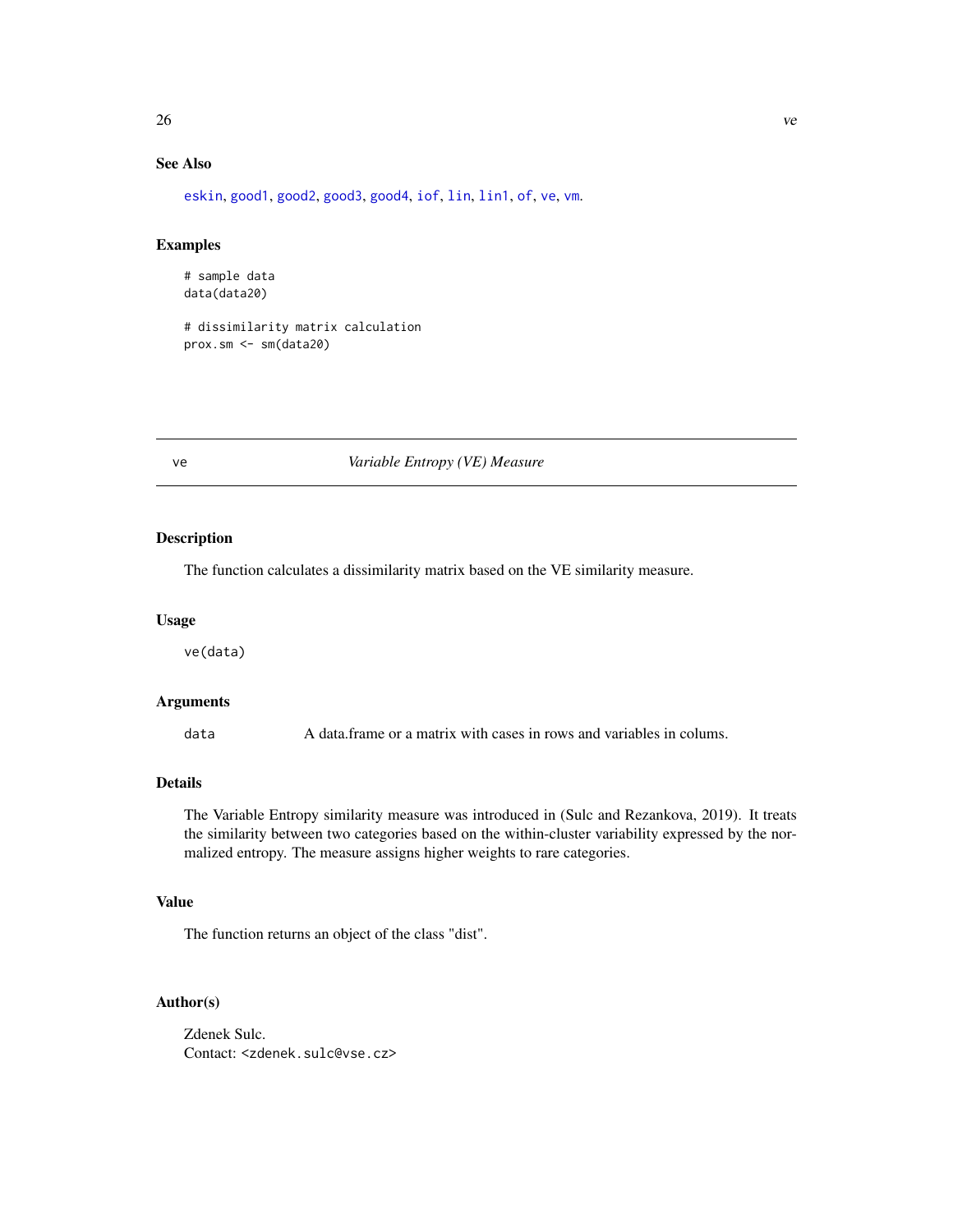# <span id="page-25-0"></span>See Also

[eskin](#page-5-1), [good1](#page-9-1), [good2](#page-10-1), [good3](#page-12-1), [good4](#page-13-1), [iof](#page-14-1), [lin](#page-15-1), [lin1](#page-16-1), [of](#page-23-1), [ve](#page-25-1), [vm](#page-26-1).

# Examples

```
# sample data
data(data20)
```
# dissimilarity matrix calculation prox.sm <- sm(data20)

# <span id="page-25-1"></span>ve *Variable Entropy (VE) Measure*

# Description

The function calculates a dissimilarity matrix based on the VE similarity measure.

#### Usage

ve(data)

# Arguments

data A data.frame or a matrix with cases in rows and variables in colums.

# Details

The Variable Entropy similarity measure was introduced in (Sulc and Rezankova, 2019). It treats the similarity between two categories based on the within-cluster variability expressed by the normalized entropy. The measure assigns higher weights to rare categories.

# Value

The function returns an object of the class "dist".

# Author(s)

Zdenek Sulc. Contact: <zdenek.sulc@vse.cz>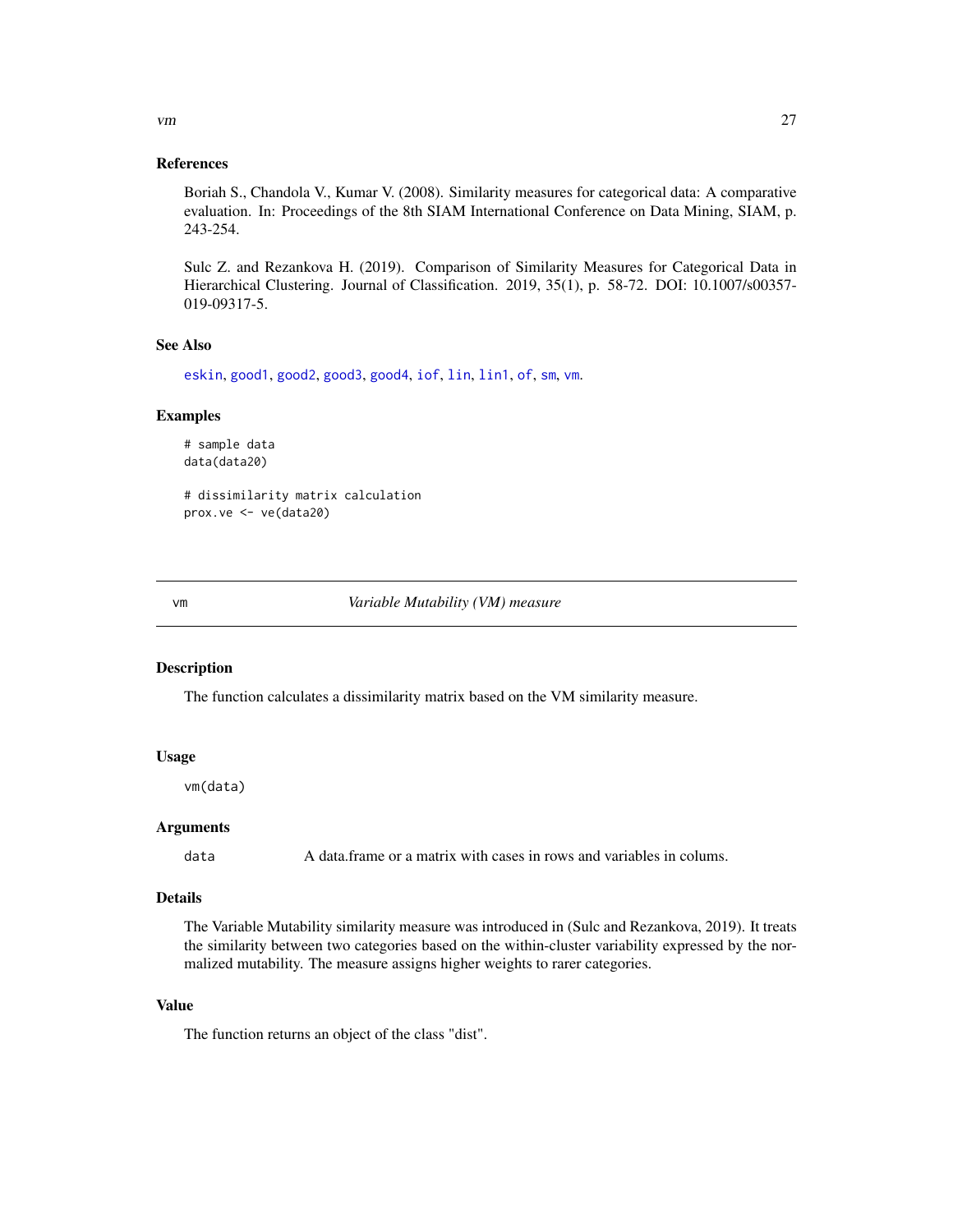# References

Boriah S., Chandola V., Kumar V. (2008). Similarity measures for categorical data: A comparative evaluation. In: Proceedings of the 8th SIAM International Conference on Data Mining, SIAM, p. 243-254.

Sulc Z. and Rezankova H. (2019). Comparison of Similarity Measures for Categorical Data in Hierarchical Clustering. Journal of Classification. 2019, 35(1), p. 58-72. DOI: 10.1007/s00357- 019-09317-5.

# See Also

[eskin](#page-5-1), [good1](#page-9-1), [good2](#page-10-1), [good3](#page-12-1), [good4](#page-13-1), [iof](#page-14-1), [lin](#page-15-1), [lin1](#page-16-1), [of](#page-23-1), [sm](#page-24-1), [vm](#page-26-1).

#### Examples

```
# sample data
data(data20)
```
# dissimilarity matrix calculation prox.ve <- ve(data20)

<span id="page-26-1"></span>vm *Variable Mutability (VM) measure*

#### Description

The function calculates a dissimilarity matrix based on the VM similarity measure.

#### Usage

vm(data)

#### Arguments

data A data.frame or a matrix with cases in rows and variables in colums.

# Details

The Variable Mutability similarity measure was introduced in (Sulc and Rezankova, 2019). It treats the similarity between two categories based on the within-cluster variability expressed by the normalized mutability. The measure assigns higher weights to rarer categories.

#### Value

The function returns an object of the class "dist".

<span id="page-26-0"></span>vm 27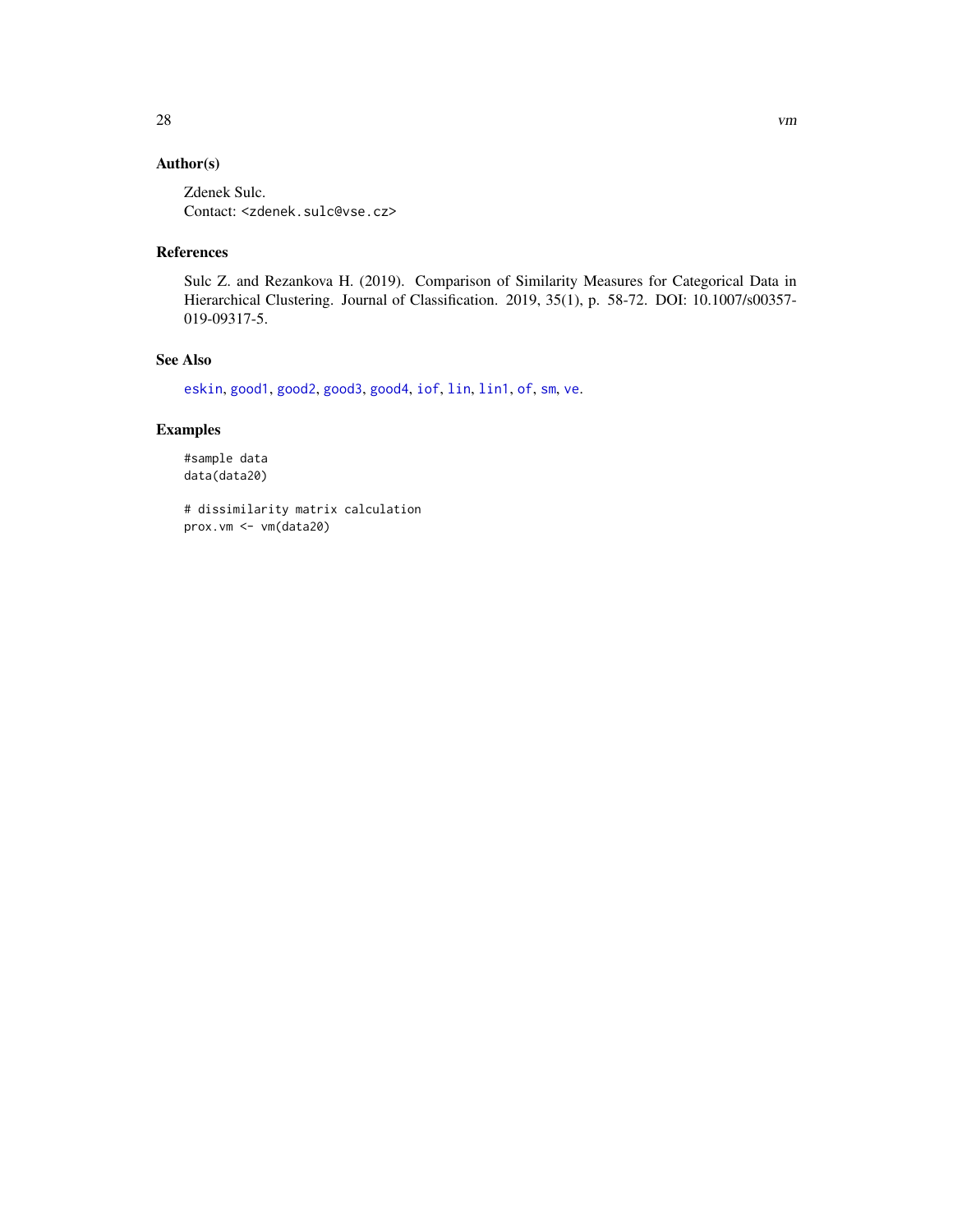# <span id="page-27-0"></span>Author(s)

Zdenek Sulc. Contact: <zdenek.sulc@vse.cz>

# References

Sulc Z. and Rezankova H. (2019). Comparison of Similarity Measures for Categorical Data in Hierarchical Clustering. Journal of Classification. 2019, 35(1), p. 58-72. DOI: 10.1007/s00357- 019-09317-5.

# See Also

[eskin](#page-5-1), [good1](#page-9-1), [good2](#page-10-1), [good3](#page-12-1), [good4](#page-13-1), [iof](#page-14-1), [lin](#page-15-1), [lin1](#page-16-1), [of](#page-23-1), [sm](#page-24-1), [ve](#page-25-1).

# Examples

#sample data data(data20)

# dissimilarity matrix calculation prox.vm <- vm(data20)